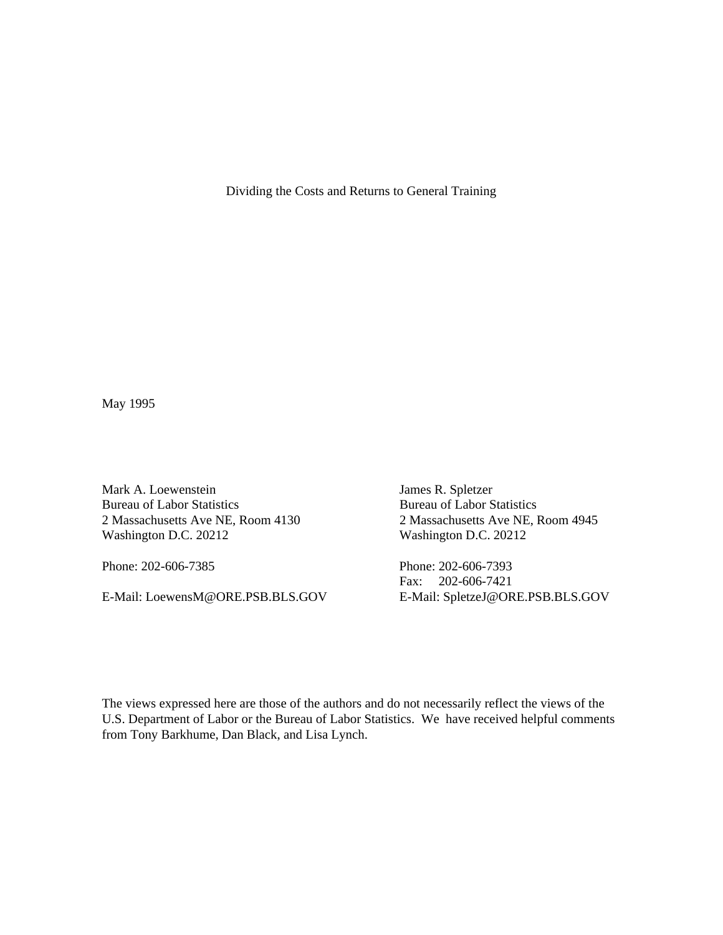Dividing the Costs and Returns to General Training

May 1995

Mark A. Loewenstein James R. Spletzer<br>Bureau of Labor Statistics Bureau of Labor Statistics Bureau of Labor Statistics<br>
2 Massachusetts Ave NE, Room 4130<br>
2 Massachusetts Ave NE, Room 4945 2 Massachusetts Ave NE, Room 4130 Washington D.C. 20212 Washington D.C. 20212

Phone: 202-606-7385 Phone: 202-606-7393

E-Mail: LoewensM@ORE.PSB.BLS.GOV E-Mail: SpletzeJ@ORE.PSB.BLS.GOV

Fax: 202-606-7421

The views expressed here are those of the authors and do not necessarily reflect the views of the U.S. Department of Labor or the Bureau of Labor Statistics. We have received helpful comments from Tony Barkhume, Dan Black, and Lisa Lynch.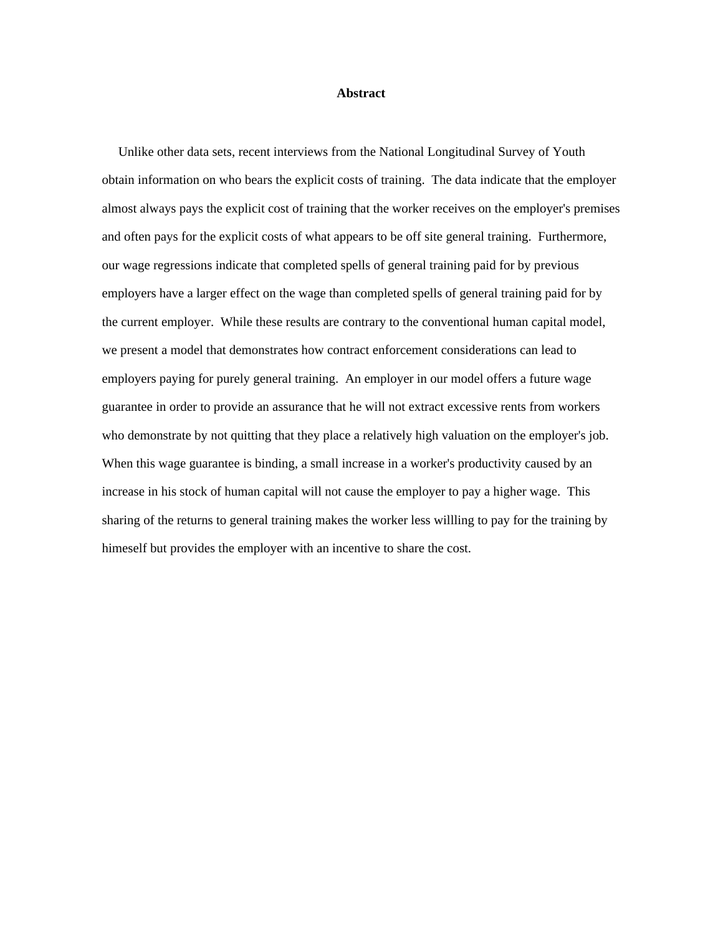## **Abstract**

 Unlike other data sets, recent interviews from the National Longitudinal Survey of Youth obtain information on who bears the explicit costs of training. The data indicate that the employer almost always pays the explicit cost of training that the worker receives on the employer's premises and often pays for the explicit costs of what appears to be off site general training. Furthermore, our wage regressions indicate that completed spells of general training paid for by previous employers have a larger effect on the wage than completed spells of general training paid for by the current employer. While these results are contrary to the conventional human capital model, we present a model that demonstrates how contract enforcement considerations can lead to employers paying for purely general training. An employer in our model offers a future wage guarantee in order to provide an assurance that he will not extract excessive rents from workers who demonstrate by not quitting that they place a relatively high valuation on the employer's job. When this wage guarantee is binding, a small increase in a worker's productivity caused by an increase in his stock of human capital will not cause the employer to pay a higher wage. This sharing of the returns to general training makes the worker less willling to pay for the training by himeself but provides the employer with an incentive to share the cost.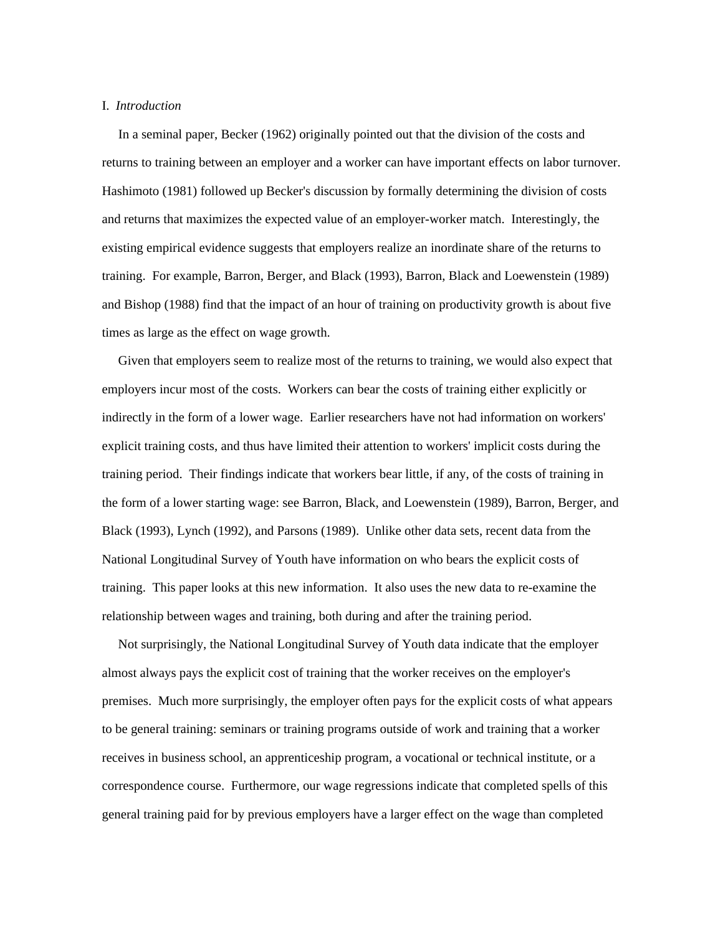## I. *Introduction*

 In a seminal paper, Becker (1962) originally pointed out that the division of the costs and returns to training between an employer and a worker can have important effects on labor turnover. Hashimoto (1981) followed up Becker's discussion by formally determining the division of costs and returns that maximizes the expected value of an employer-worker match. Interestingly, the existing empirical evidence suggests that employers realize an inordinate share of the returns to training. For example, Barron, Berger, and Black (1993), Barron, Black and Loewenstein (1989) and Bishop (1988) find that the impact of an hour of training on productivity growth is about five times as large as the effect on wage growth.

 Given that employers seem to realize most of the returns to training, we would also expect that employers incur most of the costs. Workers can bear the costs of training either explicitly or indirectly in the form of a lower wage. Earlier researchers have not had information on workers' explicit training costs, and thus have limited their attention to workers' implicit costs during the training period. Their findings indicate that workers bear little, if any, of the costs of training in the form of a lower starting wage: see Barron, Black, and Loewenstein (1989), Barron, Berger, and Black (1993), Lynch (1992), and Parsons (1989). Unlike other data sets, recent data from the National Longitudinal Survey of Youth have information on who bears the explicit costs of training. This paper looks at this new information. It also uses the new data to re-examine the relationship between wages and training, both during and after the training period.

 Not surprisingly, the National Longitudinal Survey of Youth data indicate that the employer almost always pays the explicit cost of training that the worker receives on the employer's premises. Much more surprisingly, the employer often pays for the explicit costs of what appears to be general training: seminars or training programs outside of work and training that a worker receives in business school, an apprenticeship program, a vocational or technical institute, or a correspondence course. Furthermore, our wage regressions indicate that completed spells of this general training paid for by previous employers have a larger effect on the wage than completed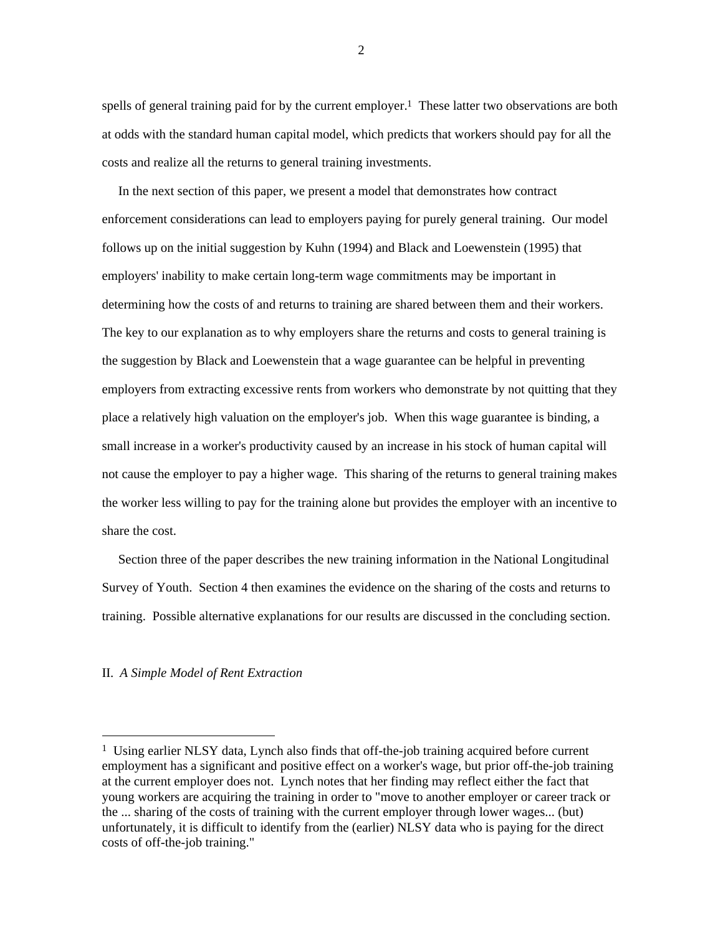spells of general training paid for by the current employer.<sup>1</sup> These latter two observations are both at odds with the standard human capital model, which predicts that workers should pay for all the costs and realize all the returns to general training investments.

 In the next section of this paper, we present a model that demonstrates how contract enforcement considerations can lead to employers paying for purely general training. Our model follows up on the initial suggestion by Kuhn (1994) and Black and Loewenstein (1995) that employers' inability to make certain long-term wage commitments may be important in determining how the costs of and returns to training are shared between them and their workers. The key to our explanation as to why employers share the returns and costs to general training is the suggestion by Black and Loewenstein that a wage guarantee can be helpful in preventing employers from extracting excessive rents from workers who demonstrate by not quitting that they place a relatively high valuation on the employer's job. When this wage guarantee is binding, a small increase in a worker's productivity caused by an increase in his stock of human capital will not cause the employer to pay a higher wage. This sharing of the returns to general training makes the worker less willing to pay for the training alone but provides the employer with an incentive to share the cost.

 Section three of the paper describes the new training information in the National Longitudinal Survey of Youth. Section 4 then examines the evidence on the sharing of the costs and returns to training. Possible alternative explanations for our results are discussed in the concluding section.

## II. *A Simple Model of Rent Extraction*

<sup>&</sup>lt;sup>1</sup> Using earlier NLSY data, Lynch also finds that off-the-job training acquired before current employment has a significant and positive effect on a worker's wage, but prior off-the-job training at the current employer does not. Lynch notes that her finding may reflect either the fact that young workers are acquiring the training in order to "move to another employer or career track or the ... sharing of the costs of training with the current employer through lower wages... (but) unfortunately, it is difficult to identify from the (earlier) NLSY data who is paying for the direct costs of off-the-job training."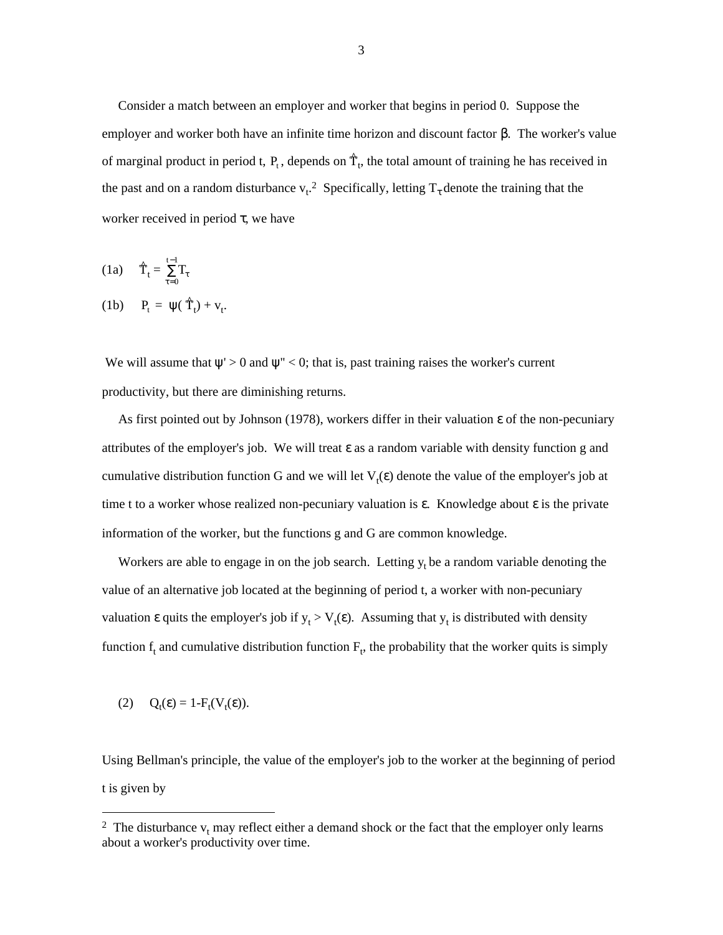Consider a match between an employer and worker that begins in period 0. Suppose the employer and worker both have an infinite time horizon and discount factor  $\beta$ . The worker's value of marginal product in period t,  $P_t$ , depends on  $\hat{T}_t$ , the total amount of training he has received in the past and on a random disturbance  $v_t$ .<sup>2</sup> Specifically, letting  $T_\tau$  denote the training that the worker received in period  $\tau$ , we have

$$
(1a) \qquad \hat{T}_t = \sum_{\tau=0}^{t-1} T_\tau
$$

$$
(1b) \quad P_t = \psi(\hat{T}_t) + v_t.
$$

We will assume that  $\psi$ ' > 0 and  $\psi$ '' < 0; that is, past training raises the worker's current productivity, but there are diminishing returns.

As first pointed out by Johnson (1978), workers differ in their valuation  $\varepsilon$  of the non-pecuniary attributes of the employer's job. We will treat  $\varepsilon$  as a random variable with density function g and cumulative distribution function G and we will let  $V_t(\varepsilon)$  denote the value of the employer's job at time t to a worker whose realized non-pecuniary valuation is  $\varepsilon$ . Knowledge about  $\varepsilon$  is the private information of the worker, but the functions g and G are common knowledge.

Workers are able to engage in on the job search. Letting  $y_t$  be a random variable denoting the value of an alternative job located at the beginning of period t, a worker with non-pecuniary valuation  $\varepsilon$  quits the employer's job if  $y_t > V_t(\varepsilon)$ . Assuming that  $y_t$  is distributed with density function  $f_t$  and cumulative distribution function  $F_t$ , the probability that the worker quits is simply

$$
(2) \qquad Q_t(\varepsilon) = 1 - F_t(V_t(\varepsilon)).
$$

Using Bellman's principle, the value of the employer's job to the worker at the beginning of period t is given by

<sup>&</sup>lt;sup>2</sup> The disturbance  $v_t$  may reflect either a demand shock or the fact that the employer only learns about a worker's productivity over time.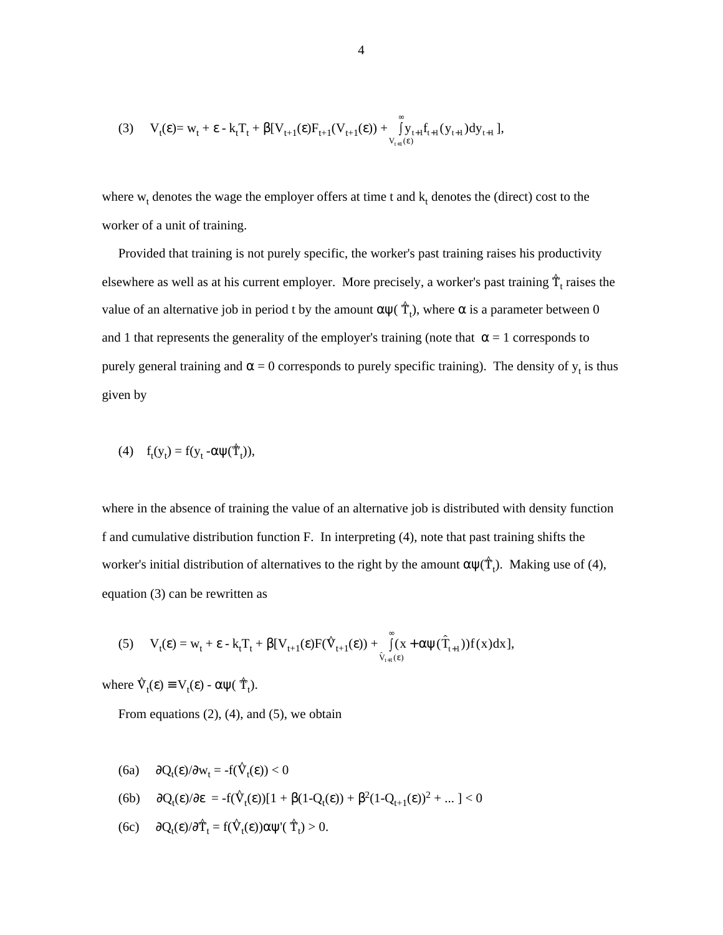$$
(3) \tV_{t}(\epsilon) = w_{t} + \epsilon - k_{t}T_{t} + \beta[V_{t+1}(\epsilon)F_{t+1}(V_{t+1}(\epsilon)) + \int_{V_{t+1}(\epsilon)}^{\infty} y_{t+1}f_{t+1}(y_{t+1})dy_{t+1}],
$$

where  $w_t$  denotes the wage the employer offers at time t and  $k_t$  denotes the (direct) cost to the worker of a unit of training.

 Provided that training is not purely specific, the worker's past training raises his productivity elsewhere as well as at his current employer. More precisely, a worker's past training  $\hat{T}_t$  raises the value of an alternative job in period t by the amount  $\alpha$ ψ(  $\hat{\Upsilon}$ <sub>t</sub>), where  $\alpha$  is a parameter between 0 and 1 that represents the generality of the employer's training (note that  $\alpha = 1$  corresponds to purely general training and  $\alpha = 0$  corresponds to purely specific training). The density of  $y_t$  is thus given by

$$
(4) \t f_t(y_t) = f(y_t - \alpha \psi(\hat{T}_t)),
$$

where in the absence of training the value of an alternative job is distributed with density function f and cumulative distribution function F. In interpreting (4), note that past training shifts the worker's initial distribution of alternatives to the right by the amount  $\alpha \psi(\hat{T}_t)$ . Making use of (4), equation (3) can be rewritten as

equation (3) can be rewritten as  
\n(5) 
$$
V_t(\varepsilon) = w_t + \varepsilon - k_t T_t + \beta [V_{t+1}(\varepsilon) F(\hat{V}_{t+1}(\varepsilon)) + \int_{\hat{V}_{t+1}(\varepsilon)}^{\infty} (x + \alpha \psi(\hat{T}_{t+1})) f(x) dx],
$$

where  $\hat{V}_t(\varepsilon) \equiv V_t(\varepsilon) - \alpha \psi(\hat{T}_t)$ .

From equations  $(2)$ ,  $(4)$ , and  $(5)$ , we obtain

$$
(6a) \qquad \partial Q_t(\varepsilon)/\partial w_t = -f(\hat{V}_t(\varepsilon)) < 0
$$

$$
(6b) \qquad \partial Q_t(\epsilon)/\partial \epsilon \ = \ -f(\hat{V}_t(\epsilon))[1+\beta(1-Q_t(\epsilon))+\beta^2(1-Q_{t+1}(\epsilon))^2+...] < 0
$$

(6c)  $\partial Q_t(\varepsilon)/\partial \hat{T}_t = f(\hat{V}_t(\varepsilon))\alpha \psi'(\hat{T}_t) > 0.$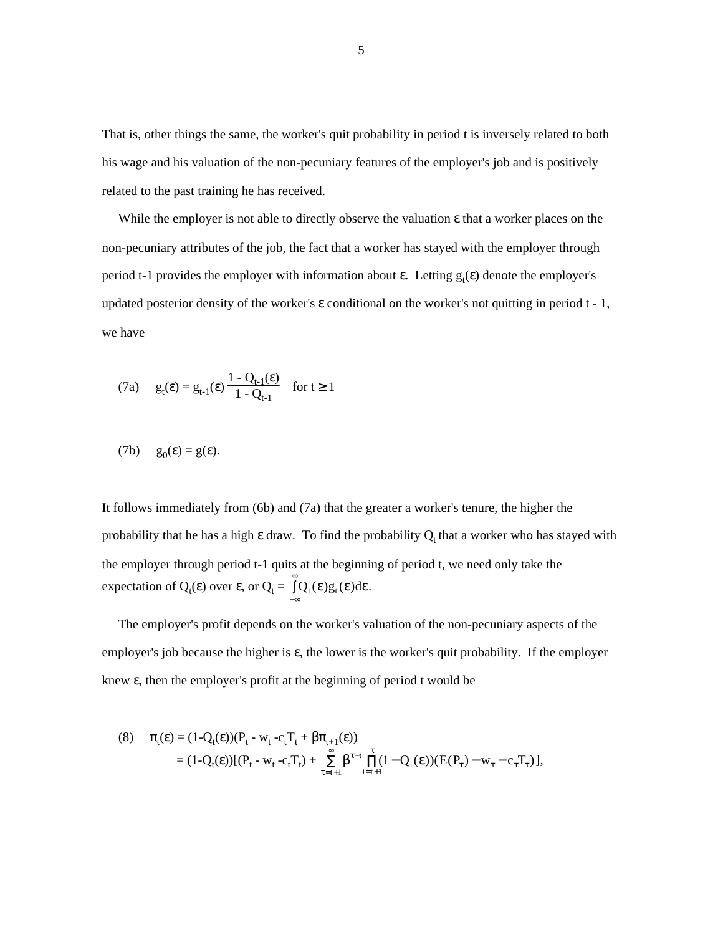That is, other things the same, the worker's quit probability in period t is inversely related to both his wage and his valuation of the non-pecuniary features of the employer's job and is positively related to the past training he has received.

 While the employer is not able to directly observe the valuation ε that a worker places on the non-pecuniary attributes of the job, the fact that a worker has stayed with the employer through period t-1 provides the employer with information about  $\varepsilon$ . Letting  $g_t(\varepsilon)$  denote the employer's updated posterior density of the worker's  $\varepsilon$  conditional on the worker's not quitting in period  $t - 1$ , we have

$$
(7a) \qquad g_t(\varepsilon) = g_{t-1}(\varepsilon) \, \frac{1 - Q_{t-1}(\varepsilon)}{1 - Q_{t-1}} \quad \text{for } t \ge 1
$$

$$
(7b) \t g_0(\varepsilon) = g(\varepsilon).
$$

It follows immediately from (6b) and (7a) that the greater a worker's tenure, the higher the probability that he has a high  $\varepsilon$  draw. To find the probability  $Q_t$  that a worker who has stayed with the employer through period t-1 quits at the beginning of period t, we need only take the expectation of  $Q_t(\varepsilon)$  over  $\varepsilon$ , or  $Q_t = \int_{-\infty}^{+\infty} Q_t(\varepsilon) g_t(\varepsilon) d\varepsilon$  $\int_0^\infty Q_t(\varepsilon) g_t(\varepsilon) d\varepsilon.$ 

 The employer's profit depends on the worker's valuation of the non-pecuniary aspects of the employer's job because the higher is  $\varepsilon$ , the lower is the worker's quit probability. If the employer knew ε, then the employer's profit at the beginning of period t would be

(8) 
$$
\pi_t(\varepsilon) = (1 - Q_t(\varepsilon))(P_t - w_t - c_t T_t + \beta \pi_{t+1}(\varepsilon))
$$
  
=  $(1 - Q_t(\varepsilon))[(P_t - w_t - c_t T_t) + \sum_{\tau=t+1}^{\infty} \beta^{\tau-t} \prod_{i=t+1}^{\tau} (1 - Q_i(\varepsilon))(E(P_{\tau}) - w_{\tau} - c_{\tau} T_{\tau})],$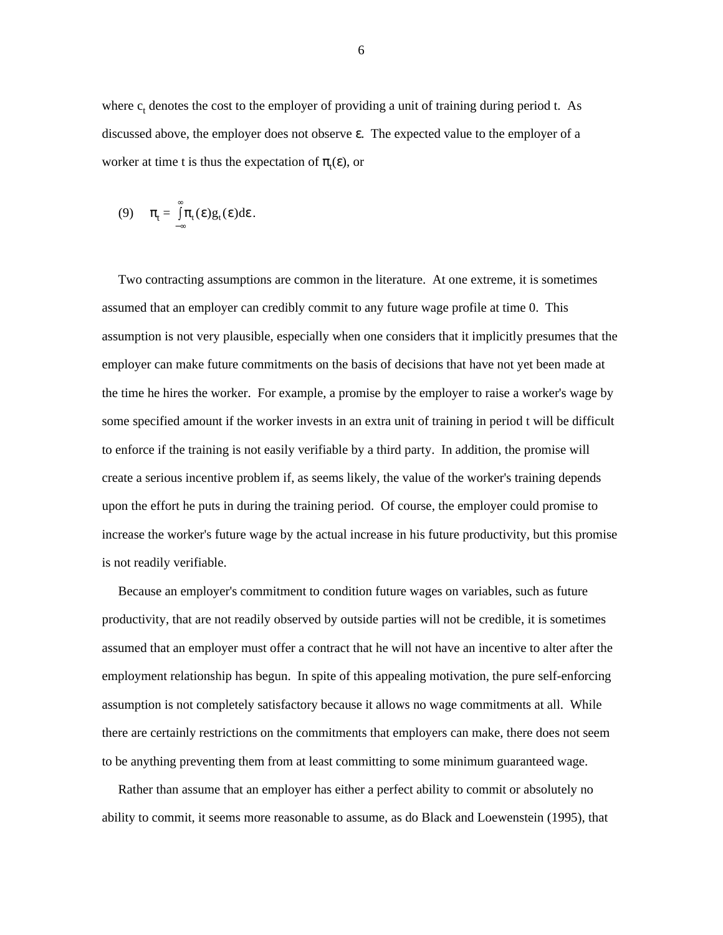where  $c_t$  denotes the cost to the employer of providing a unit of training during period t. As discussed above, the employer does not observe ε. The expected value to the employer of a worker at time t is thus the expectation of  $\pi_t(\varepsilon)$ , or

$$
(9) \qquad \pi_t = \int_{-\infty}^{\infty} \pi_t(\epsilon) g_t(\epsilon) d\epsilon.
$$

 Two contracting assumptions are common in the literature. At one extreme, it is sometimes assumed that an employer can credibly commit to any future wage profile at time 0. This assumption is not very plausible, especially when one considers that it implicitly presumes that the employer can make future commitments on the basis of decisions that have not yet been made at the time he hires the worker. For example, a promise by the employer to raise a worker's wage by some specified amount if the worker invests in an extra unit of training in period t will be difficult to enforce if the training is not easily verifiable by a third party. In addition, the promise will create a serious incentive problem if, as seems likely, the value of the worker's training depends upon the effort he puts in during the training period. Of course, the employer could promise to increase the worker's future wage by the actual increase in his future productivity, but this promise is not readily verifiable.

 Because an employer's commitment to condition future wages on variables, such as future productivity, that are not readily observed by outside parties will not be credible, it is sometimes assumed that an employer must offer a contract that he will not have an incentive to alter after the employment relationship has begun. In spite of this appealing motivation, the pure self-enforcing assumption is not completely satisfactory because it allows no wage commitments at all. While there are certainly restrictions on the commitments that employers can make, there does not seem to be anything preventing them from at least committing to some minimum guaranteed wage.

 Rather than assume that an employer has either a perfect ability to commit or absolutely no ability to commit, it seems more reasonable to assume, as do Black and Loewenstein (1995), that

6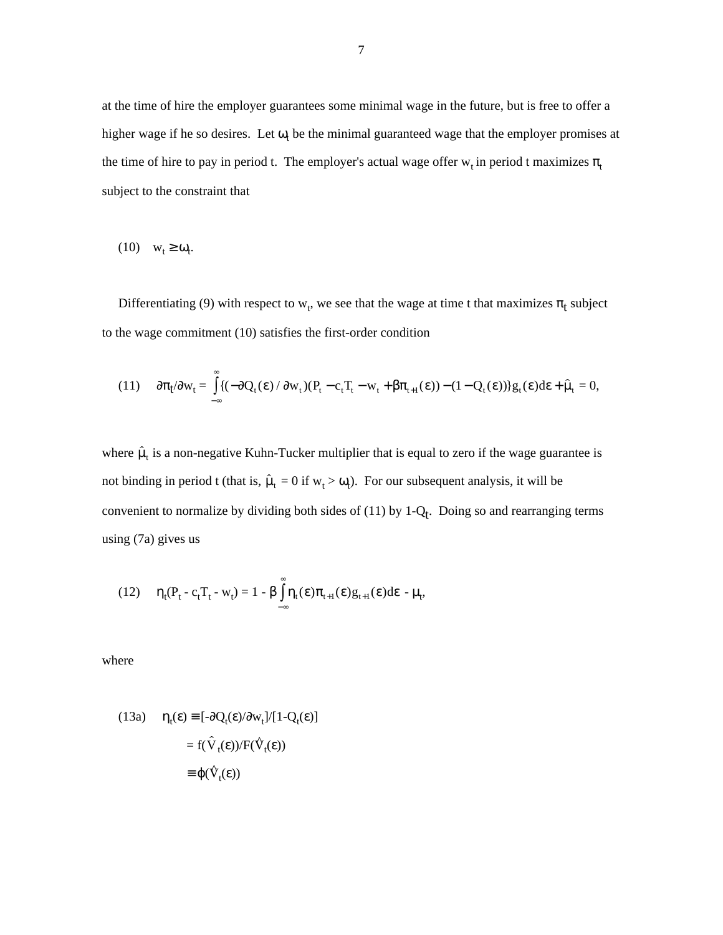at the time of hire the employer guarantees some minimal wage in the future, but is free to offer a higher wage if he so desires. Let  $\omega_t$  be the minimal guaranteed wage that the employer promises at the time of hire to pay in period t. The employer's actual wage offer  $w_t$  in period t maximizes  $\pi_t$ subject to the constraint that

 $(10)$   $\mathbf{w}_t \geq \mathbf{\omega}_t$ .

Differentiating (9) with respect to  $w_t$ , we see that the wage at time t that maximizes  $\pi_t$  subject to the wage commitment (10) satisfies the first-order condition

(b) the wage commitment (10) satisfies the first-order condition  
\n(11) 
$$
\partial \pi_t / \partial w_t = \int_{-\infty}^{\infty} \{ (-\partial Q_t(\epsilon) / \partial w_t)(P_t - c_t T_t - w_t + \beta \pi_{t+1}(\epsilon)) - (1 - Q_t(\epsilon)) \} g_t(\epsilon) d\epsilon + \hat{\mu}_t = 0,
$$

where  $\hat{\mu}_t$  is a non-negative Kuhn-Tucker multiplier that is equal to zero if the wage guarantee is where  $\hat{\mu}_t$  is a non-negative Kuhn-Tucker multiplier that is equal to zero if the wage guar<br>not binding in period t (that is,  $\hat{\mu}_t = 0$  if  $w_t > \omega_t$ ). For our subsequent analysis, it will be convenient to normalize by dividing both sides of  $(11)$  by 1- $Q_t$ . Doing so and rearranging terms using (7a) gives us

(12) 
$$
\eta_t(P_t - c_t T_t - w_t) = 1 - \beta \int_{-\infty}^{\infty} \eta_t(\epsilon) \pi_{t+1}(\epsilon) g_{t+1}(\epsilon) d\epsilon - \mu_t,
$$

where

(13a) 
$$
\eta_t(\varepsilon) \equiv [-\partial Q_t(\varepsilon)/\partial w_t]/[1 - Q_t(\varepsilon)]
$$

$$
= f(\hat{V}_t(\varepsilon))/F(\hat{V}_t(\varepsilon))
$$

$$
\equiv \varphi(\hat{V}_t(\varepsilon))
$$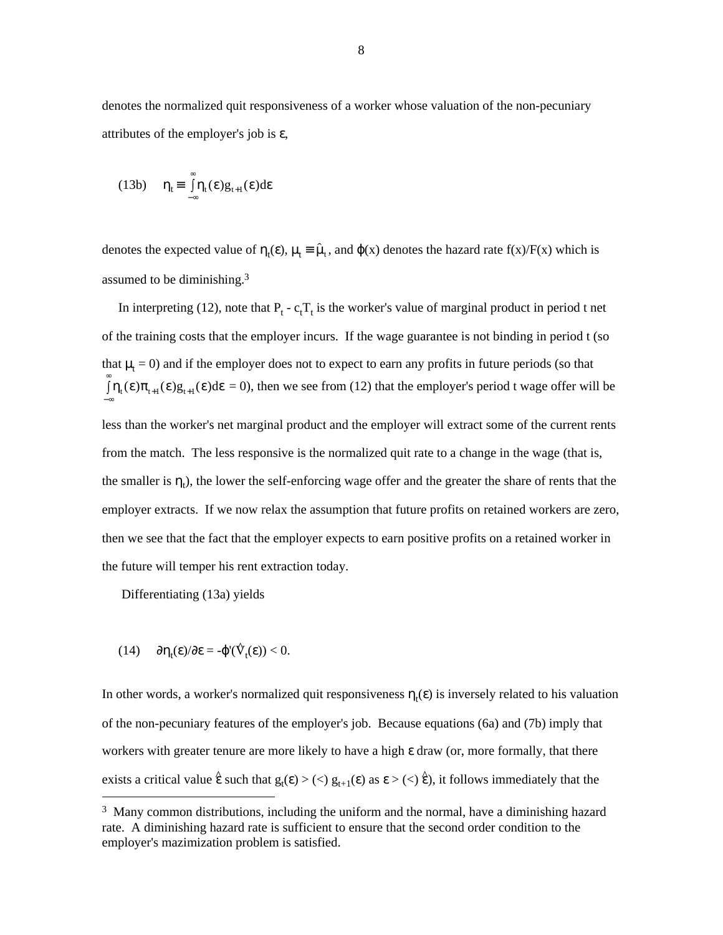denotes the normalized quit responsiveness of a worker whose valuation of the non-pecuniary attributes of the employer's job is ε,

(13b) 
$$
\eta_t \equiv \int_{-\infty}^{\infty} \eta_t(\epsilon) g_{t+1}(\epsilon) d\epsilon
$$

denotes the expected value of  $\eta_t(\varepsilon)$ ,  $\mu_t \equiv \hat{\mu}_t$ , and  $\varphi(x)$  denotes the hazard rate f(x)/F(x) which is assumed to be diminishing.3

In interpreting (12), note that  $P_t - c_t T_t$  is the worker's value of marginal product in period t net of the training costs that the employer incurs. If the wage guarantee is not binding in period t (so that  $\mu_t = 0$ ) and if the employer does not to expect to earn any profits in future periods (so that  $\int \eta_t(\epsilon) \pi_{t+1}(\epsilon) g_{t+1}(\epsilon) d\epsilon = 0$ , then we see from (12) that the employer's period t wage offer will be −∞ less than the worker's net marginal product and the employer will extract some of the current rents from the match. The less responsive is the normalized quit rate to a change in the wage (that is, the smaller is  $\eta_t$ ), the lower the self-enforcing wage offer and the greater the share of rents that the employer extracts. If we now relax the assumption that future profits on retained workers are zero, then we see that the fact that the employer expects to earn positive profits on a retained worker in the future will temper his rent extraction today.

Differentiating (13a) yields

$$
(14) \qquad \partial \eta_t(\epsilon)/\partial \epsilon = -\varphi'(\hat{V}_t(\epsilon)) < 0.
$$

In other words, a worker's normalized quit responsiveness  $\eta_t(\varepsilon)$  is inversely related to his valuation of the non-pecuniary features of the employer's job. Because equations (6a) and (7b) imply that workers with greater tenure are more likely to have a high ε draw (or, more formally, that there exists a critical value  $\hat{\epsilon}$  such that  $g_t(\epsilon) > (\epsilon) g_{t+1}(\epsilon)$  as  $\epsilon > (\epsilon) \hat{\epsilon}$ ), it follows immediately that the

<sup>&</sup>lt;sup>3</sup> Many common distributions, including the uniform and the normal, have a diminishing hazard rate. A diminishing hazard rate is sufficient to ensure that the second order condition to the employer's mazimization problem is satisfied.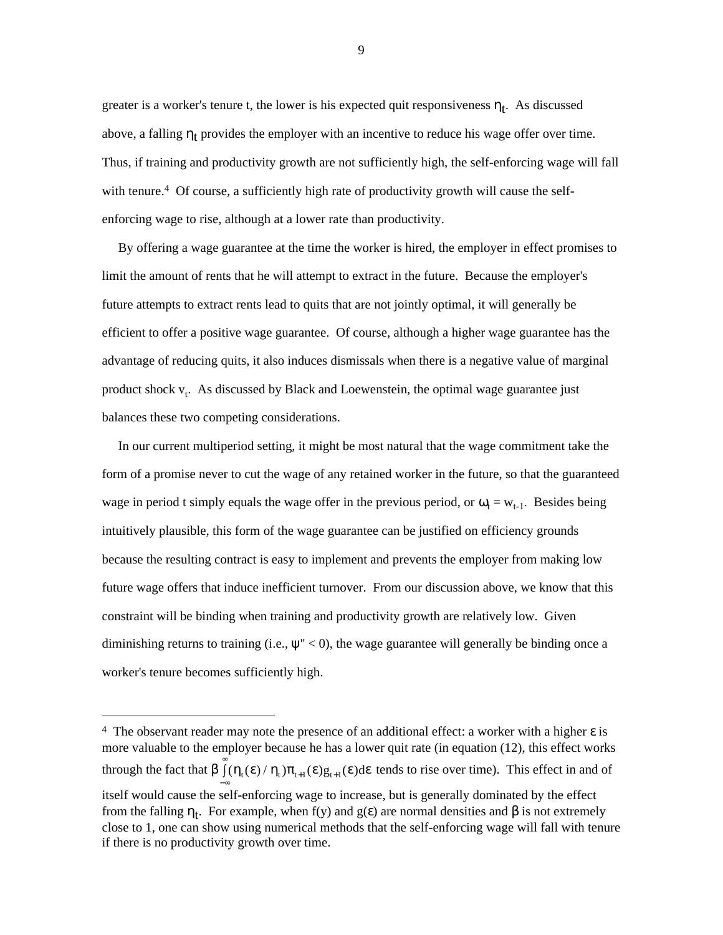greater is a worker's tenure t, the lower is his expected quit responsiveness  $\eta_t$ . As discussed above, a falling  $\eta_t$  provides the employer with an incentive to reduce his wage offer over time. Thus, if training and productivity growth are not sufficiently high, the self-enforcing wage will fall with tenure.<sup>4</sup> Of course, a sufficiently high rate of productivity growth will cause the selfenforcing wage to rise, although at a lower rate than productivity.

 By offering a wage guarantee at the time the worker is hired, the employer in effect promises to limit the amount of rents that he will attempt to extract in the future. Because the employer's future attempts to extract rents lead to quits that are not jointly optimal, it will generally be efficient to offer a positive wage guarantee. Of course, although a higher wage guarantee has the advantage of reducing quits, it also induces dismissals when there is a negative value of marginal product shock v<sub>t</sub>. As discussed by Black and Loewenstein, the optimal wage guarantee just balances these two competing considerations.

 In our current multiperiod setting, it might be most natural that the wage commitment take the form of a promise never to cut the wage of any retained worker in the future, so that the guaranteed wage in period t simply equals the wage offer in the previous period, or  $\omega_t = w_{t-1}$ . Besides being intuitively plausible, this form of the wage guarantee can be justified on efficiency grounds because the resulting contract is easy to implement and prevents the employer from making low future wage offers that induce inefficient turnover. From our discussion above, we know that this constraint will be binding when training and productivity growth are relatively low. Given diminishing returns to training (i.e.,  $\psi$ " < 0), the wage guarantee will generally be binding once a worker's tenure becomes sufficiently high.

<sup>&</sup>lt;sup>4</sup> The observant reader may note the presence of an additional effect: a worker with a higher  $\varepsilon$  is more valuable to the employer because he has a lower quit rate (in equation (12), this effect works through the fact that  $\beta \int_0^{\infty} (\eta_t(\epsilon)/\eta_t) \pi_{t+1}(\epsilon) g_{t+1}(\epsilon) d\epsilon$  tends to rise over time). This effect in and of −∞ itself would cause the self-enforcing wage to increase, but is generally dominated by the effect from the falling  $η_t$ . For example, when f(y) and g(ε) are normal densities and β is not extremely close to 1, one can show using numerical methods that the self-enforcing wage will fall with tenure if there is no productivity growth over time.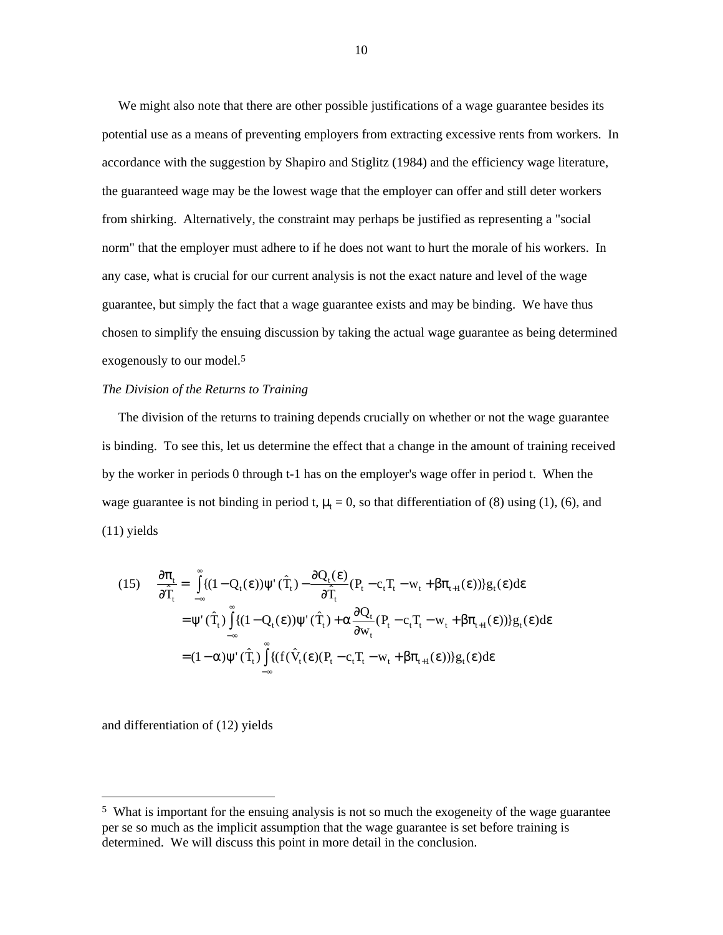We might also note that there are other possible justifications of a wage guarantee besides its potential use as a means of preventing employers from extracting excessive rents from workers. In accordance with the suggestion by Shapiro and Stiglitz (1984) and the efficiency wage literature, the guaranteed wage may be the lowest wage that the employer can offer and still deter workers from shirking. Alternatively, the constraint may perhaps be justified as representing a "social norm" that the employer must adhere to if he does not want to hurt the morale of his workers. In any case, what is crucial for our current analysis is not the exact nature and level of the wage guarantee, but simply the fact that a wage guarantee exists and may be binding. We have thus chosen to simplify the ensuing discussion by taking the actual wage guarantee as being determined exogenously to our model.<sup>5</sup>

## *The Division of the Returns to Training*

 The division of the returns to training depends crucially on whether or not the wage guarantee is binding. To see this, let us determine the effect that a change in the amount of training received by the worker in periods 0 through t-1 has on the employer's wage offer in period t. When the wage guarantee is not binding in period t,  $\mu_t = 0$ , so that differentiation of (8) using (1), (6), and (11) yields

(11) yields  
\n
$$
\frac{\partial \pi_t}{\partial \hat{T}_t} = \int_{-\infty}^{\infty} \{ (1 - Q_t(\epsilon)) \psi'(\hat{T}_t) - \frac{\partial Q_t(\epsilon)}{\partial \hat{T}_t} (P_t - c_t T_t - w_t + \beta \pi_{t+1}(\epsilon)) \} g_t(\epsilon) d\epsilon
$$
\n
$$
= \psi'(\hat{T}_t) \int_{-\infty}^{\infty} \{ (1 - Q_t(\epsilon)) \psi'(\hat{T}_t) + \alpha \frac{\partial Q_t}{\partial w_t} (P_t - c_t T_t - w_t + \beta \pi_{t+1}(\epsilon)) \} g_t(\epsilon) d\epsilon
$$
\n
$$
= (1 - \alpha) \psi'(\hat{T}_t) \int_{-\infty}^{\infty} \{ (f(\hat{V}_t(\epsilon)) (P_t - c_t T_t - w_t + \beta \pi_{t+1}(\epsilon)) \} g_t(\epsilon) d\epsilon
$$

and differentiation of (12) yields

 <sup>5</sup> What is important for the ensuing analysis is not so much the exogeneity of the wage guarantee per se so much as the implicit assumption that the wage guarantee is set before training is determined. We will discuss this point in more detail in the conclusion.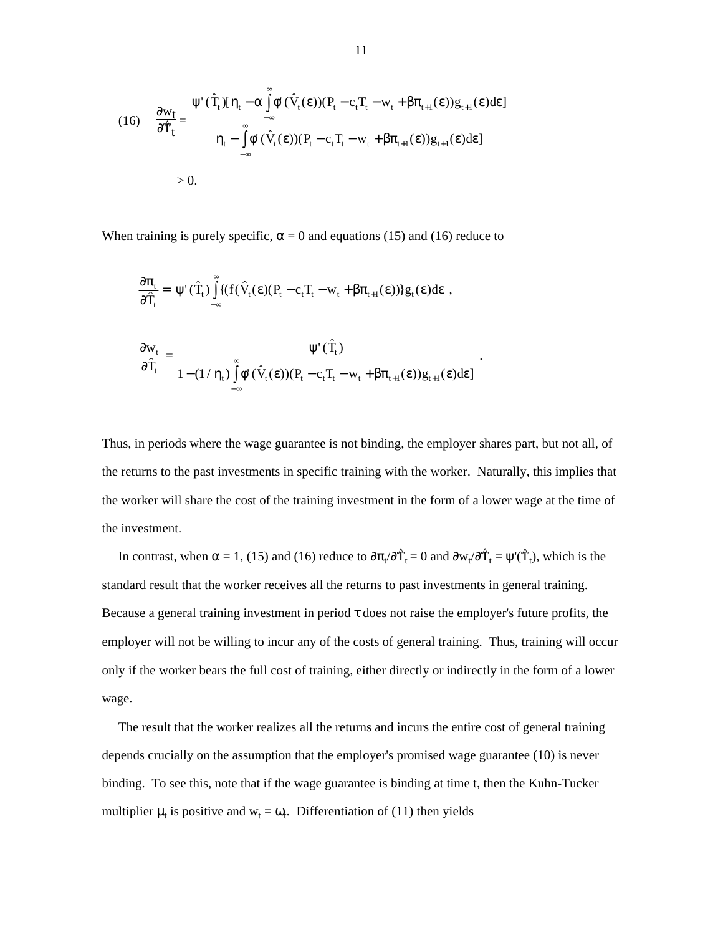(16) 
$$
\frac{\partial w_t}{\partial \hat{T}_t} = \frac{\Psi'(\hat{T}_t)[\eta_t - \alpha \int_{-\infty}^{\infty} \phi'(\hat{V}_t(\epsilon)) (P_t - c_t T_t - w_t + \beta \pi_{t+1}(\epsilon)) g_{t+1}(\epsilon) d\epsilon]}{\eta_t - \int_{-\infty}^{\infty} \phi'(\hat{V}_t(\epsilon)) (P_t - c_t T_t - w_t + \beta \pi_{t+1}(\epsilon)) g_{t+1}(\epsilon) d\epsilon]}
$$
  
> 0.

When training is purely specific,  $\alpha = 0$  and equations (15) and (16) reduce to

When training is purely specific, 
$$
\alpha = 0
$$
 and equations (15) and (16) reduce  
\n
$$
\frac{\partial \pi_t}{\partial \hat{T}_t} = \psi'(\hat{T}_t) \int_{-\infty}^{\infty} \{ (f(\hat{V}_t(\epsilon)(P_t - c_t T_t - w_t + \beta \pi_{t+1}(\epsilon))) g_t(\epsilon) d\epsilon ,
$$
\n
$$
\frac{\partial w_t}{\partial \hat{T}_t} = \frac{\psi'(\hat{T}_t)}{1 - (1/\eta_t) \int_{-\infty}^{\infty} \phi'(\hat{V}_t(\epsilon)) (P_t - c_t T_t - w_t + \beta \pi_{t+1}(\epsilon)) g_{t+1}(\epsilon) d\epsilon )}.
$$

Thus, in periods where the wage guarantee is not binding, the employer shares part, but not all, of the returns to the past investments in specific training with the worker. Naturally, this implies that the worker will share the cost of the training investment in the form of a lower wage at the time of the investment.

In contrast, when  $\alpha = 1$ , (15) and (16) reduce to  $\partial \pi_t / \partial \hat{T}_t = 0$  and  $\partial w_t / \partial \hat{T}_t = \psi'(\hat{T}_t)$ , which is the standard result that the worker receives all the returns to past investments in general training. Because a general training investment in period  $\tau$  does not raise the employer's future profits, the employer will not be willing to incur any of the costs of general training. Thus, training will occur only if the worker bears the full cost of training, either directly or indirectly in the form of a lower wage.

 The result that the worker realizes all the returns and incurs the entire cost of general training depends crucially on the assumption that the employer's promised wage guarantee (10) is never binding. To see this, note that if the wage guarantee is binding at time t, then the Kuhn-Tucker multiplier  $\mu_t$  is positive and  $w_t = \omega_t$ . Differentiation of (11) then yields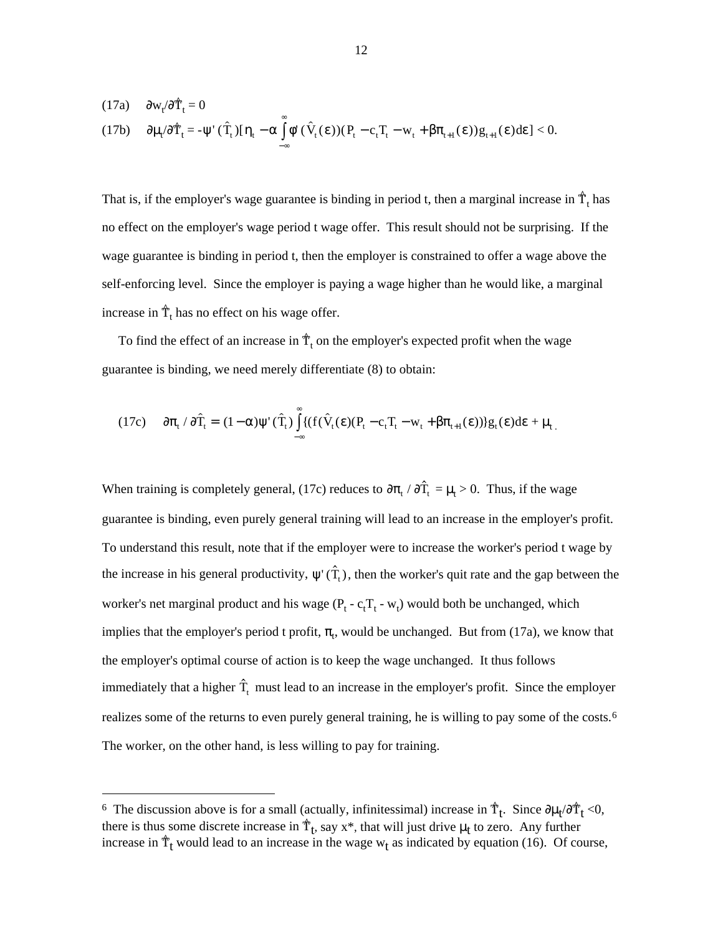(17a) 
$$
\partial w_t / \partial \hat{T}_t = 0
$$
  
(17b)  $\partial \mu_t / \partial \hat{T}_t = -\psi'(\hat{T}_t) [\eta_t - \alpha \int_{-\infty}^{\infty} \phi'(\hat{V}_t(\epsilon)) (P_t - c_t T_t - w_t + \beta \pi_{t+1}(\epsilon)) g_{t+1}(\epsilon) d\epsilon] < 0.$ 

That is, if the employer's wage guarantee is binding in period t, then a marginal increase in  $\hat{T}_t$  has no effect on the employer's wage period t wage offer. This result should not be surprising. If the wage guarantee is binding in period t, then the employer is constrained to offer a wage above the self-enforcing level. Since the employer is paying a wage higher than he would like, a marginal increase in  $\hat{\mathsf{T}}_{\text{t}}$  has no effect on his wage offer.

To find the effect of an increase in  $\hat{\mathcal{T}}_t$  on the employer's expected profit when the wage guarantee is binding, we need merely differentiate (8) to obtain:

guarance is binding, we need merely differentiate (8) to obtain:  
\n
$$
(17c) \quad \partial \pi_t / \partial \hat{T}_t = (1 - \alpha) \psi'(\hat{T}_t) \int_{-\infty}^{\infty} \{ (f(\hat{V}_t(\epsilon)(P_t - c_t T_t - w_t + \beta \pi_{t+1}(\epsilon))) \} g_t(\epsilon) d\epsilon + \mu_t \}
$$

When training is completely general, (17c) reduces to  $\partial \pi_t / \partial \hat{T}_t = \mu_t > 0$ . Thus, if the wage guarantee is binding, even purely general training will lead to an increase in the employer's profit. To understand this result, note that if the employer were to increase the worker's period t wage by To understand this result, note that if the employer were to increase the worker's period t wage by the increase in his general productivity,  $\psi'(\hat{T}_t)$ , then the worker's quit rate and the gap between the worker's net marginal product and his wage  $(P_t - c_t T_t - w_t)$  would both be unchanged, which implies that the employer's period t profit,  $\pi_t$ , would be unchanged. But from (17a), we know that the employer's optimal course of action is to keep the wage unchanged. It thus follows the employer's optimal course of action is to keep the wage unchanged. It thus follows<br>immediately that a higher  $\hat{T}_t$  must lead to an increase in the employer's profit. Since the employer realizes some of the returns to even purely general training, he is willing to pay some of the costs.6 The worker, on the other hand, is less willing to pay for training.

<sup>&</sup>lt;sup>6</sup> The discussion above is for a small (actually, infinitessimal) increase in  $\hat{T}_t$ . Since  $\partial \mu_t / \partial \hat{T}_t$  <0, there is thus some discrete increase in  $\hat{T}_t$ , say x\*, that will just drive  $\mu_t$  to zero. Any further increase in  $\hat{T}_t$  would lead to an increase in the wage  $w_t$  as indicated by equation (16). Of course,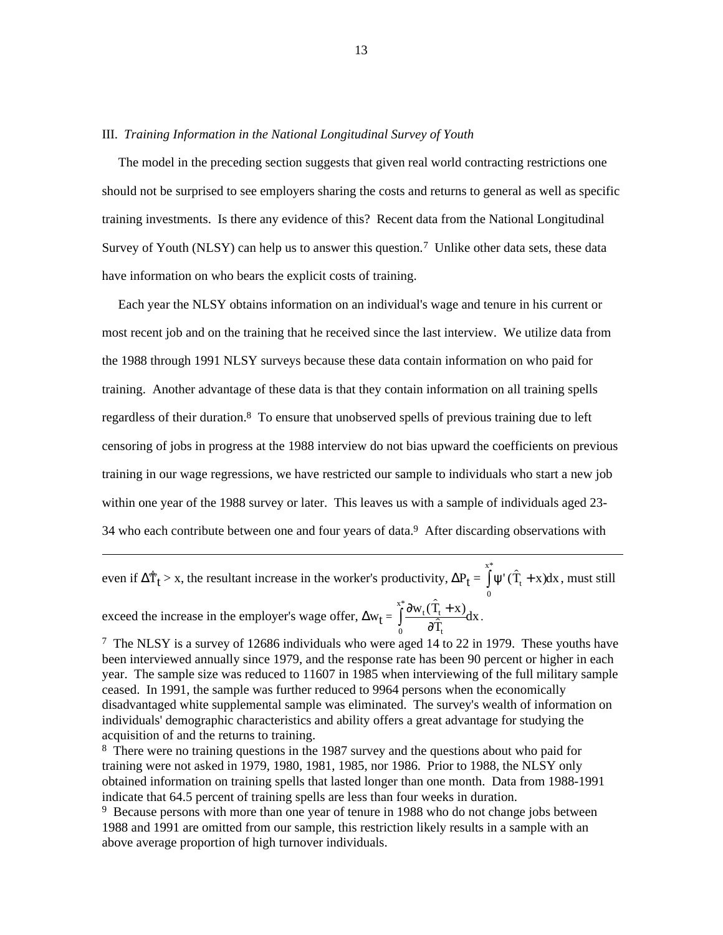#### III. *Training Information in the National Longitudinal Survey of Youth*

 The model in the preceding section suggests that given real world contracting restrictions one should not be surprised to see employers sharing the costs and returns to general as well as specific training investments. Is there any evidence of this? Recent data from the National Longitudinal Survey of Youth (NLSY) can help us to answer this question.7 Unlike other data sets, these data have information on who bears the explicit costs of training.

 Each year the NLSY obtains information on an individual's wage and tenure in his current or most recent job and on the training that he received since the last interview. We utilize data from the 1988 through 1991 NLSY surveys because these data contain information on who paid for training. Another advantage of these data is that they contain information on all training spells regardless of their duration.8 To ensure that unobserved spells of previous training due to left censoring of jobs in progress at the 1988 interview do not bias upward the coefficients on previous training in our wage regressions, we have restricted our sample to individuals who start a new job within one year of the 1988 survey or later. This leaves us with a sample of individuals aged 23- 34 who each contribute between one and four years of data.9 After discarding observations with

34 who each contribute between one and four years of data.<sup>9</sup> After discarding observ<br>
even if  $\Delta \hat{T}_t$  > x, the resultant increase in the worker's productivity,  $\Delta P_t = \int^{\frac{x^*}{2}} \psi'(\hat{T}_t + x)$ \*  $T_t + x)dx$  $\int_{0}^{x^{*}} \Psi'(\hat{T}_{t} +$ , must still ductivity,  $\Delta P$ <br> $\int_{r}^{x^*} \partial w_t(\hat{T}_t + x)$ t:

exceed the increase in the employer's wage offer,  $\Delta w_t = \int_0^{\infty} \frac{\partial w_t}{\partial \theta}$  $W_t(T_t + x)$ T  $\frac{t(1_t + A)}{2}dx$  $\int_{0}^{x^{*}} \frac{\partial w_{t}(\hat{T}_{t} + \hat{T}_{t})}{\partial \hat{T}_{t}}$ .

 $\overline{a}$ 

7 The NLSY is a survey of 12686 individuals who were aged 14 to 22 in 1979. These youths have been interviewed annually since 1979, and the response rate has been 90 percent or higher in each year. The sample size was reduced to 11607 in 1985 when interviewing of the full military sample ceased. In 1991, the sample was further reduced to 9964 persons when the economically disadvantaged white supplemental sample was eliminated. The survey's wealth of information on individuals' demographic characteristics and ability offers a great advantage for studying the acquisition of and the returns to training.

8 There were no training questions in the 1987 survey and the questions about who paid for training were not asked in 1979, 1980, 1981, 1985, nor 1986. Prior to 1988, the NLSY only obtained information on training spells that lasted longer than one month. Data from 1988-1991 indicate that 64.5 percent of training spells are less than four weeks in duration.

<sup>9</sup> Because persons with more than one year of tenure in 1988 who do not change jobs between 1988 and 1991 are omitted from our sample, this restriction likely results in a sample with an above average proportion of high turnover individuals.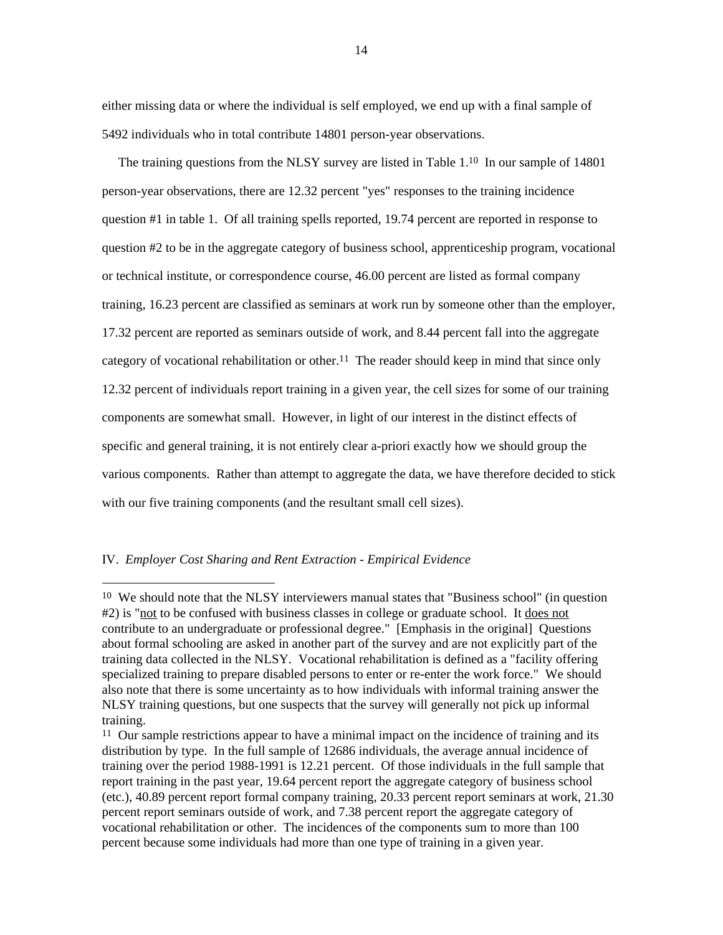either missing data or where the individual is self employed, we end up with a final sample of 5492 individuals who in total contribute 14801 person-year observations.

The training questions from the NLSY survey are listed in Table 1.<sup>10</sup> In our sample of 14801 person-year observations, there are 12.32 percent "yes" responses to the training incidence question #1 in table 1. Of all training spells reported, 19.74 percent are reported in response to question #2 to be in the aggregate category of business school, apprenticeship program, vocational or technical institute, or correspondence course, 46.00 percent are listed as formal company training, 16.23 percent are classified as seminars at work run by someone other than the employer, 17.32 percent are reported as seminars outside of work, and 8.44 percent fall into the aggregate category of vocational rehabilitation or other.<sup>11</sup> The reader should keep in mind that since only 12.32 percent of individuals report training in a given year, the cell sizes for some of our training components are somewhat small. However, in light of our interest in the distinct effects of specific and general training, it is not entirely clear a-priori exactly how we should group the various components. Rather than attempt to aggregate the data, we have therefore decided to stick with our five training components (and the resultant small cell sizes).

## IV. *Employer Cost Sharing and Rent Extraction - Empirical Evidence*

<sup>&</sup>lt;sup>10</sup> We should note that the NLSY interviewers manual states that "Business school" (in question #2) is "not to be confused with business classes in college or graduate school. It does not contribute to an undergraduate or professional degree." [Emphasis in the original] Questions about formal schooling are asked in another part of the survey and are not explicitly part of the training data collected in the NLSY. Vocational rehabilitation is defined as a "facility offering specialized training to prepare disabled persons to enter or re-enter the work force." We should also note that there is some uncertainty as to how individuals with informal training answer the NLSY training questions, but one suspects that the survey will generally not pick up informal training.

<sup>&</sup>lt;sup>11</sup> Our sample restrictions appear to have a minimal impact on the incidence of training and its distribution by type. In the full sample of 12686 individuals, the average annual incidence of training over the period 1988-1991 is 12.21 percent. Of those individuals in the full sample that report training in the past year, 19.64 percent report the aggregate category of business school (etc.), 40.89 percent report formal company training, 20.33 percent report seminars at work, 21.30 percent report seminars outside of work, and 7.38 percent report the aggregate category of vocational rehabilitation or other. The incidences of the components sum to more than 100 percent because some individuals had more than one type of training in a given year.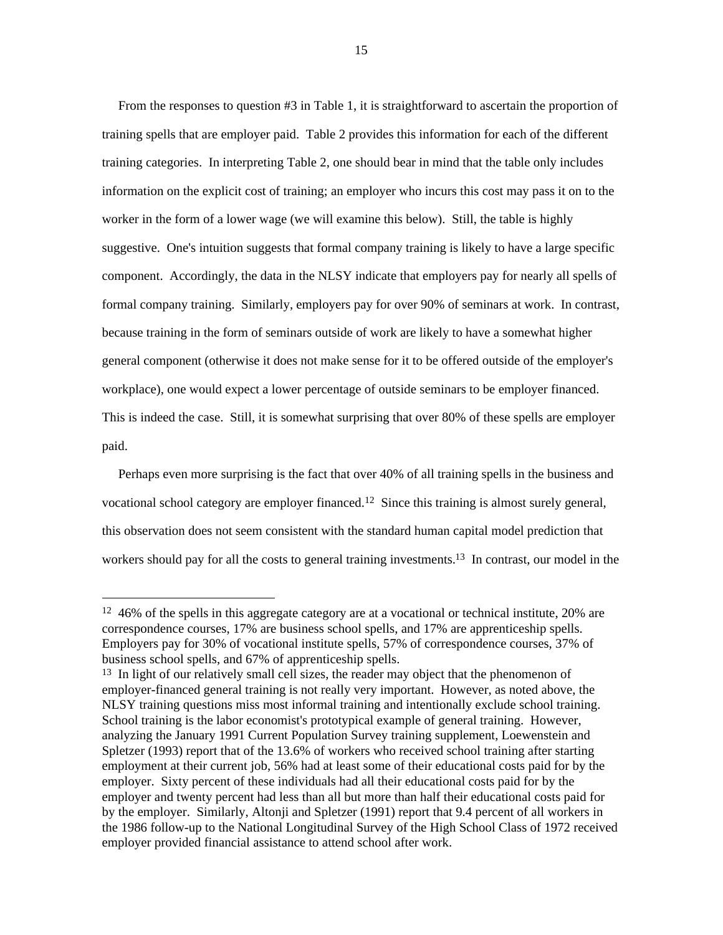From the responses to question #3 in Table 1, it is straightforward to ascertain the proportion of training spells that are employer paid. Table 2 provides this information for each of the different training categories. In interpreting Table 2, one should bear in mind that the table only includes information on the explicit cost of training; an employer who incurs this cost may pass it on to the worker in the form of a lower wage (we will examine this below). Still, the table is highly suggestive. One's intuition suggests that formal company training is likely to have a large specific component. Accordingly, the data in the NLSY indicate that employers pay for nearly all spells of formal company training. Similarly, employers pay for over 90% of seminars at work. In contrast, because training in the form of seminars outside of work are likely to have a somewhat higher general component (otherwise it does not make sense for it to be offered outside of the employer's workplace), one would expect a lower percentage of outside seminars to be employer financed. This is indeed the case. Still, it is somewhat surprising that over 80% of these spells are employer paid.

 Perhaps even more surprising is the fact that over 40% of all training spells in the business and vocational school category are employer financed.12 Since this training is almost surely general, this observation does not seem consistent with the standard human capital model prediction that workers should pay for all the costs to general training investments.<sup>13</sup> In contrast, our model in the

<sup>&</sup>lt;sup>12</sup> 46% of the spells in this aggregate category are at a vocational or technical institute, 20% are correspondence courses, 17% are business school spells, and 17% are apprenticeship spells. Employers pay for 30% of vocational institute spells, 57% of correspondence courses, 37% of business school spells, and 67% of apprenticeship spells.

<sup>&</sup>lt;sup>13</sup> In light of our relatively small cell sizes, the reader may object that the phenomenon of employer-financed general training is not really very important. However, as noted above, the NLSY training questions miss most informal training and intentionally exclude school training. School training is the labor economist's prototypical example of general training. However, analyzing the January 1991 Current Population Survey training supplement, Loewenstein and Spletzer (1993) report that of the 13.6% of workers who received school training after starting employment at their current job, 56% had at least some of their educational costs paid for by the employer. Sixty percent of these individuals had all their educational costs paid for by the employer and twenty percent had less than all but more than half their educational costs paid for by the employer. Similarly, Altonji and Spletzer (1991) report that 9.4 percent of all workers in the 1986 follow-up to the National Longitudinal Survey of the High School Class of 1972 received employer provided financial assistance to attend school after work.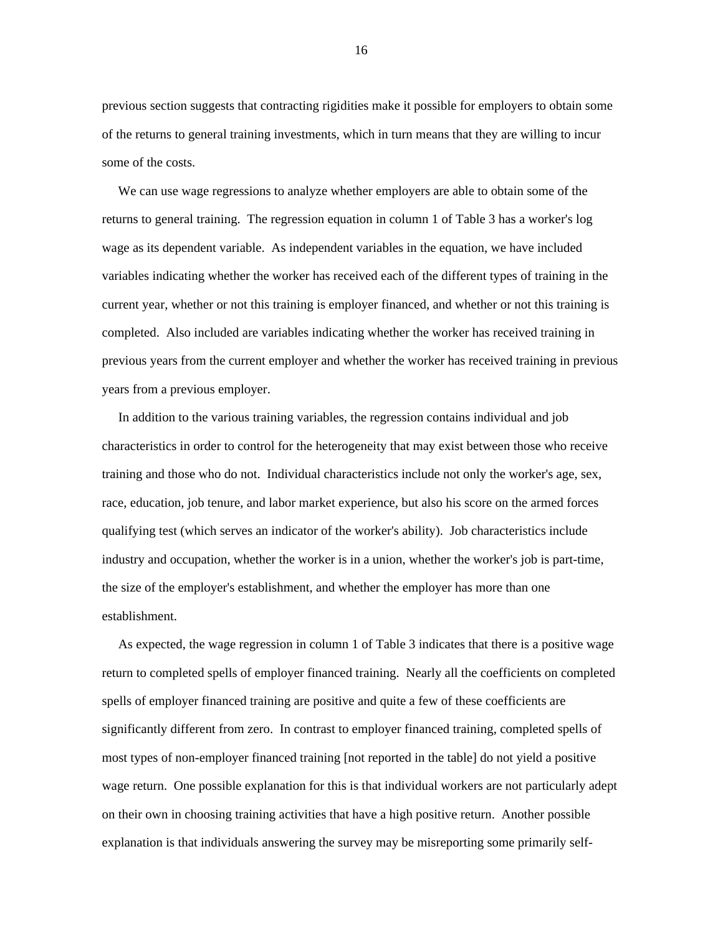previous section suggests that contracting rigidities make it possible for employers to obtain some of the returns to general training investments, which in turn means that they are willing to incur some of the costs.

 We can use wage regressions to analyze whether employers are able to obtain some of the returns to general training. The regression equation in column 1 of Table 3 has a worker's log wage as its dependent variable. As independent variables in the equation, we have included variables indicating whether the worker has received each of the different types of training in the current year, whether or not this training is employer financed, and whether or not this training is completed. Also included are variables indicating whether the worker has received training in previous years from the current employer and whether the worker has received training in previous years from a previous employer.

 In addition to the various training variables, the regression contains individual and job characteristics in order to control for the heterogeneity that may exist between those who receive training and those who do not. Individual characteristics include not only the worker's age, sex, race, education, job tenure, and labor market experience, but also his score on the armed forces qualifying test (which serves an indicator of the worker's ability). Job characteristics include industry and occupation, whether the worker is in a union, whether the worker's job is part-time, the size of the employer's establishment, and whether the employer has more than one establishment.

 As expected, the wage regression in column 1 of Table 3 indicates that there is a positive wage return to completed spells of employer financed training. Nearly all the coefficients on completed spells of employer financed training are positive and quite a few of these coefficients are significantly different from zero. In contrast to employer financed training, completed spells of most types of non-employer financed training [not reported in the table] do not yield a positive wage return. One possible explanation for this is that individual workers are not particularly adept on their own in choosing training activities that have a high positive return. Another possible explanation is that individuals answering the survey may be misreporting some primarily self-

16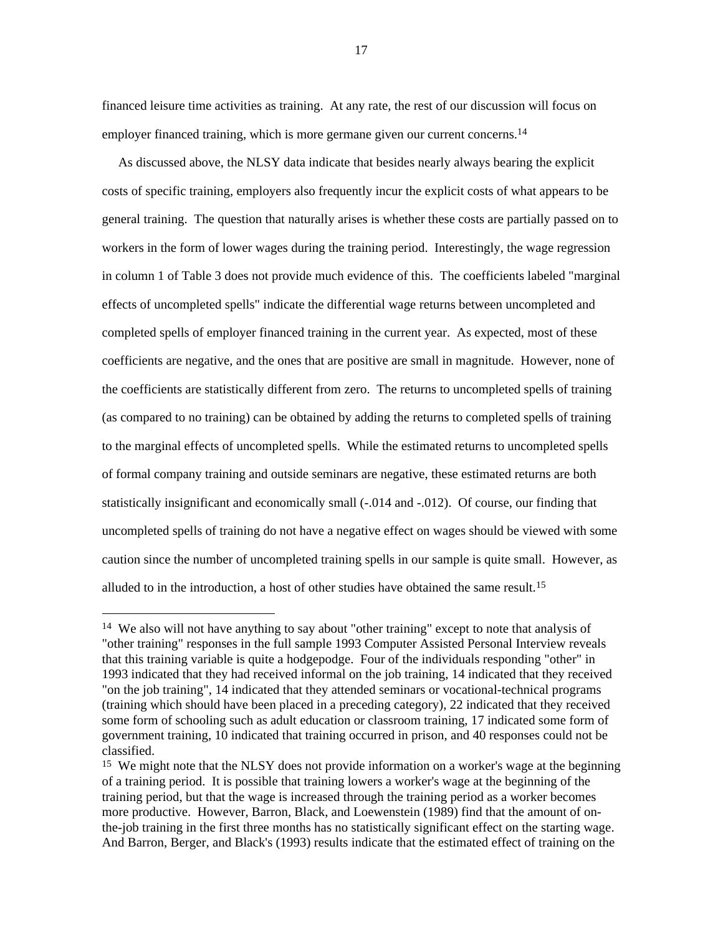financed leisure time activities as training. At any rate, the rest of our discussion will focus on employer financed training, which is more germane given our current concerns.<sup>14</sup>

 As discussed above, the NLSY data indicate that besides nearly always bearing the explicit costs of specific training, employers also frequently incur the explicit costs of what appears to be general training. The question that naturally arises is whether these costs are partially passed on to workers in the form of lower wages during the training period. Interestingly, the wage regression in column 1 of Table 3 does not provide much evidence of this. The coefficients labeled "marginal effects of uncompleted spells" indicate the differential wage returns between uncompleted and completed spells of employer financed training in the current year. As expected, most of these coefficients are negative, and the ones that are positive are small in magnitude. However, none of the coefficients are statistically different from zero. The returns to uncompleted spells of training (as compared to no training) can be obtained by adding the returns to completed spells of training to the marginal effects of uncompleted spells. While the estimated returns to uncompleted spells of formal company training and outside seminars are negative, these estimated returns are both statistically insignificant and economically small (-.014 and -.012). Of course, our finding that uncompleted spells of training do not have a negative effect on wages should be viewed with some caution since the number of uncompleted training spells in our sample is quite small. However, as alluded to in the introduction, a host of other studies have obtained the same result.15

<sup>&</sup>lt;sup>14</sup> We also will not have anything to say about "other training" except to note that analysis of "other training" responses in the full sample 1993 Computer Assisted Personal Interview reveals that this training variable is quite a hodgepodge. Four of the individuals responding "other" in 1993 indicated that they had received informal on the job training, 14 indicated that they received "on the job training", 14 indicated that they attended seminars or vocational-technical programs (training which should have been placed in a preceding category), 22 indicated that they received some form of schooling such as adult education or classroom training, 17 indicated some form of government training, 10 indicated that training occurred in prison, and 40 responses could not be classified.

<sup>&</sup>lt;sup>15</sup> We might note that the NLSY does not provide information on a worker's wage at the beginning of a training period. It is possible that training lowers a worker's wage at the beginning of the training period, but that the wage is increased through the training period as a worker becomes more productive. However, Barron, Black, and Loewenstein (1989) find that the amount of onthe-job training in the first three months has no statistically significant effect on the starting wage. And Barron, Berger, and Black's (1993) results indicate that the estimated effect of training on the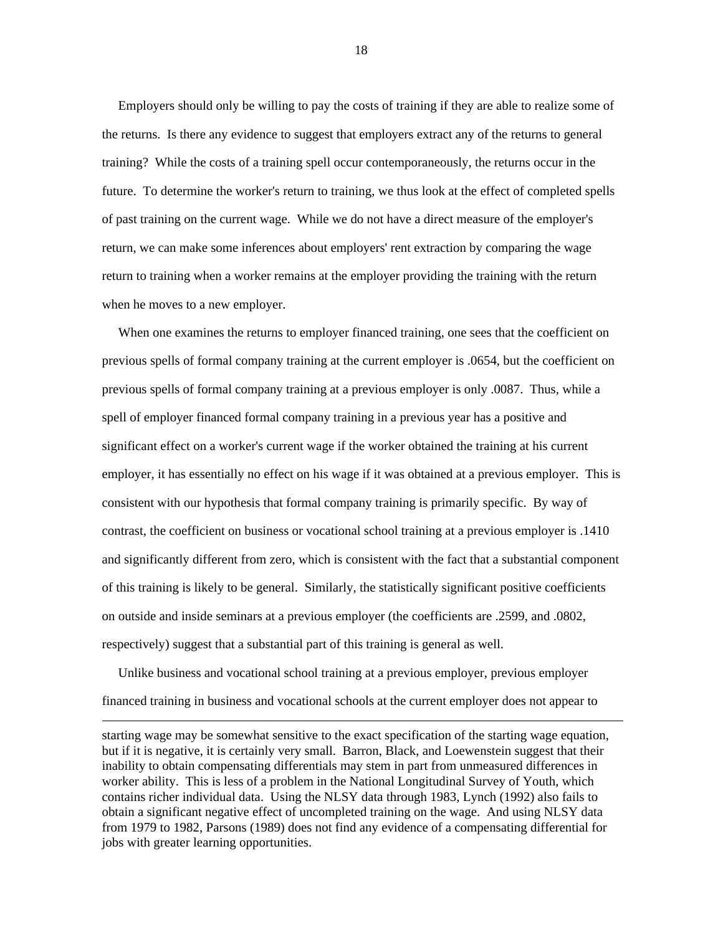Employers should only be willing to pay the costs of training if they are able to realize some of the returns. Is there any evidence to suggest that employers extract any of the returns to general training? While the costs of a training spell occur contemporaneously, the returns occur in the future. To determine the worker's return to training, we thus look at the effect of completed spells of past training on the current wage. While we do not have a direct measure of the employer's return, we can make some inferences about employers' rent extraction by comparing the wage return to training when a worker remains at the employer providing the training with the return when he moves to a new employer.

When one examines the returns to employer financed training, one sees that the coefficient on previous spells of formal company training at the current employer is .0654, but the coefficient on previous spells of formal company training at a previous employer is only .0087. Thus, while a spell of employer financed formal company training in a previous year has a positive and significant effect on a worker's current wage if the worker obtained the training at his current employer, it has essentially no effect on his wage if it was obtained at a previous employer. This is consistent with our hypothesis that formal company training is primarily specific. By way of contrast, the coefficient on business or vocational school training at a previous employer is .1410 and significantly different from zero, which is consistent with the fact that a substantial component of this training is likely to be general. Similarly, the statistically significant positive coefficients on outside and inside seminars at a previous employer (the coefficients are .2599, and .0802, respectively) suggest that a substantial part of this training is general as well.

 Unlike business and vocational school training at a previous employer, previous employer financed training in business and vocational schools at the current employer does not appear to

 $\overline{a}$ 

18

starting wage may be somewhat sensitive to the exact specification of the starting wage equation, but if it is negative, it is certainly very small. Barron, Black, and Loewenstein suggest that their inability to obtain compensating differentials may stem in part from unmeasured differences in worker ability. This is less of a problem in the National Longitudinal Survey of Youth, which contains richer individual data. Using the NLSY data through 1983, Lynch (1992) also fails to obtain a significant negative effect of uncompleted training on the wage. And using NLSY data from 1979 to 1982, Parsons (1989) does not find any evidence of a compensating differential for jobs with greater learning opportunities.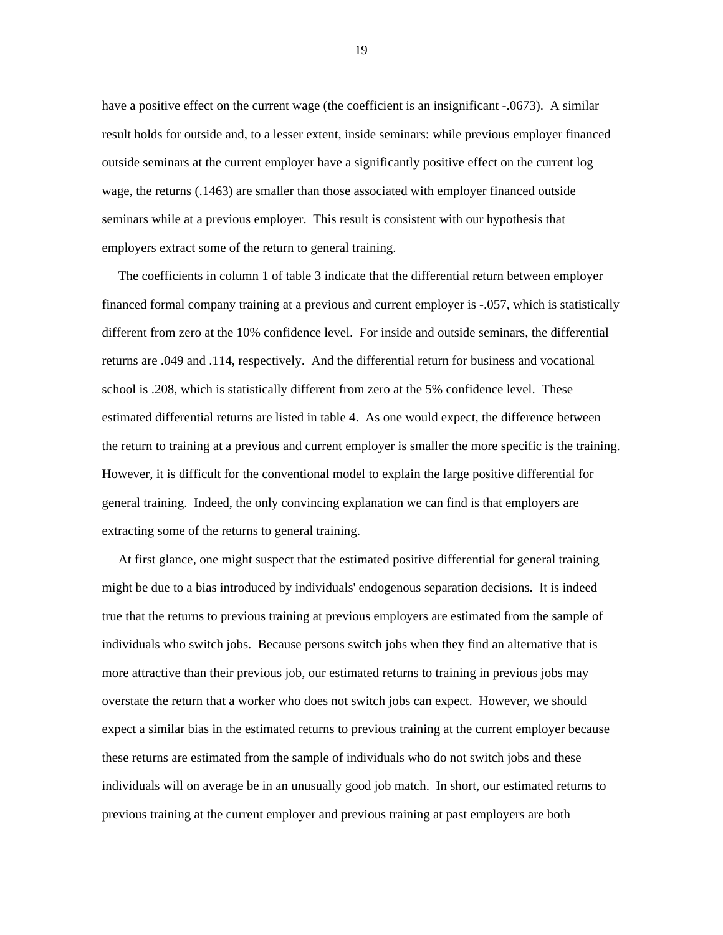have a positive effect on the current wage (the coefficient is an insignificant -.0673). A similar result holds for outside and, to a lesser extent, inside seminars: while previous employer financed outside seminars at the current employer have a significantly positive effect on the current log wage, the returns (.1463) are smaller than those associated with employer financed outside seminars while at a previous employer. This result is consistent with our hypothesis that employers extract some of the return to general training.

 The coefficients in column 1 of table 3 indicate that the differential return between employer financed formal company training at a previous and current employer is -.057, which is statistically different from zero at the 10% confidence level. For inside and outside seminars, the differential returns are .049 and .114, respectively. And the differential return for business and vocational school is .208, which is statistically different from zero at the 5% confidence level. These estimated differential returns are listed in table 4. As one would expect, the difference between the return to training at a previous and current employer is smaller the more specific is the training. However, it is difficult for the conventional model to explain the large positive differential for general training. Indeed, the only convincing explanation we can find is that employers are extracting some of the returns to general training.

 At first glance, one might suspect that the estimated positive differential for general training might be due to a bias introduced by individuals' endogenous separation decisions. It is indeed true that the returns to previous training at previous employers are estimated from the sample of individuals who switch jobs. Because persons switch jobs when they find an alternative that is more attractive than their previous job, our estimated returns to training in previous jobs may overstate the return that a worker who does not switch jobs can expect. However, we should expect a similar bias in the estimated returns to previous training at the current employer because these returns are estimated from the sample of individuals who do not switch jobs and these individuals will on average be in an unusually good job match. In short, our estimated returns to previous training at the current employer and previous training at past employers are both

19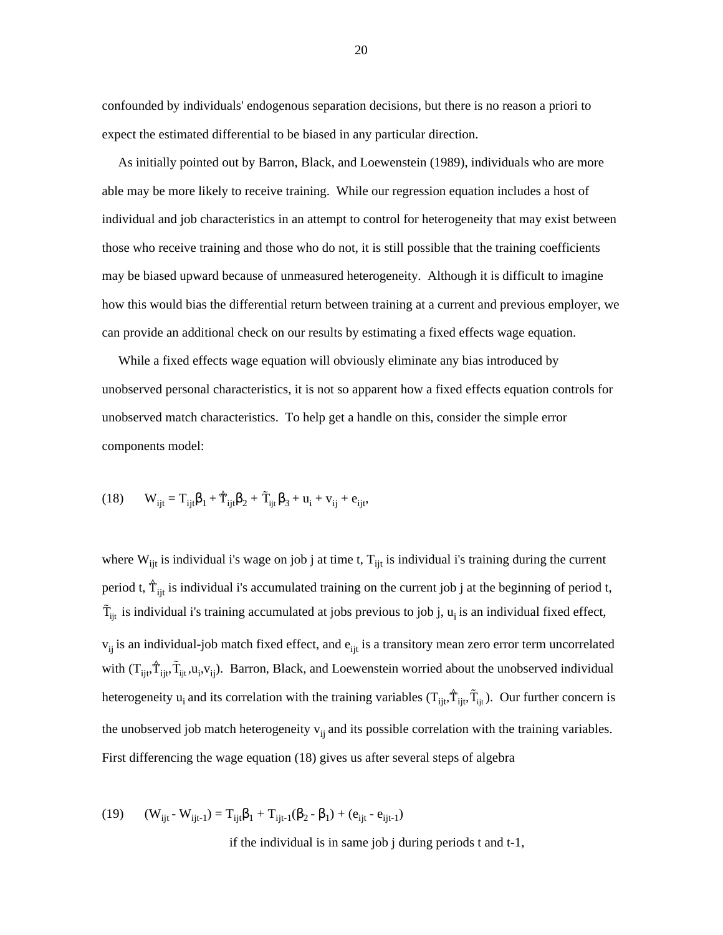confounded by individuals' endogenous separation decisions, but there is no reason a priori to expect the estimated differential to be biased in any particular direction.

 As initially pointed out by Barron, Black, and Loewenstein (1989), individuals who are more able may be more likely to receive training. While our regression equation includes a host of individual and job characteristics in an attempt to control for heterogeneity that may exist between those who receive training and those who do not, it is still possible that the training coefficients may be biased upward because of unmeasured heterogeneity. Although it is difficult to imagine how this would bias the differential return between training at a current and previous employer, we can provide an additional check on our results by estimating a fixed effects wage equation.

 While a fixed effects wage equation will obviously eliminate any bias introduced by unobserved personal characteristics, it is not so apparent how a fixed effects equation controls for unobserved match characteristics. To help get a handle on this, consider the simple error components model:

components model:  
(18) 
$$
W_{ijt} = T_{ijt}\beta_1 + \hat{T}_{ijt}\beta_2 + \tilde{T}_{ijt}\beta_3 + u_i + v_{ij} + e_{ijt},
$$

where  $W_{ijt}$  is individual i's wage on job j at time t,  $T_{ijt}$  is individual i's training during the current period t,  $\hat{T}_{ijt}$  is individual i's accumulated training on the current job j at the beginning of period t, w<br>pe<br>T  $\tilde{T}_{ijt}$  is individual i's training accumulated at jobs previous to job j,  $u_i$  is an individual fixed effect,  $v_{ij}$  is an individual-job match fixed effect, and  $e_{ijt}$  is a transitory mean zero error term uncorrelated with  $(T_{ijt}, \hat{T}_{ijt}, \tilde{T}_{ijt}, u_i, v_{ij})$ . Barron, Black, and Loewenstein worried about the unobserved individual ivid $_{\rm ijt}$ ,  $\rm \tilde{T}_{\rm i}$  $v_{ij}$  is an individual-job match fixed effect, and  $e_{ijt}$  is a transitory mean zero error term uncorrelated<br>with  $(T_{ijt}, \hat{T}_{ijt}, \tilde{T}_{ijt}, u_i, v_{ij})$ . Barron, Black, and Loewenstein worried about the unobserved individual<br>hete the unobserved job match heterogeneity  $v_{ij}$  and its possible correlation with the training variables. First differencing the wage equation (18) gives us after several steps of algebra

(19) 
$$
(W_{ijt} - W_{ijt-1}) = T_{ijt}\beta_1 + T_{ijt-1}(\beta_2 - \beta_1) + (e_{ijt} - e_{ijt-1})
$$

if the individual is in same job j during periods t and t-1,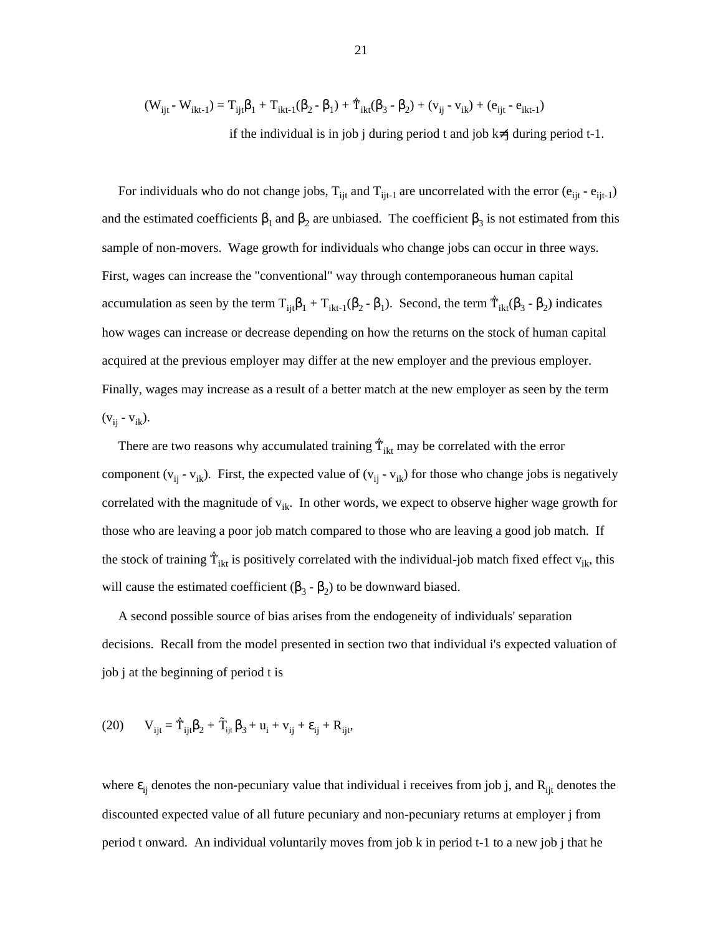$$
(W_{ijt} - W_{ikt-1}) = T_{ijt}\beta_1 + T_{ikt-1}(\beta_2 - \beta_1) + \hat{T}_{ikt}(\beta_3 - \beta_2) + (v_{ij} - v_{ik}) + (e_{ijt} - e_{ikt-1})
$$
  
if the individual is in job j during period t and job k≠j during period t-1.

For individuals who do not change jobs,  $T_{ijt}$  and  $T_{ijt-1}$  are uncorrelated with the error ( $e_{ijt}$  -  $e_{ijt-1}$ ) and the estimated coefficients  $\beta_1$  and  $\beta_2$  are unbiased. The coefficient  $\beta_3$  is not estimated from this sample of non-movers. Wage growth for individuals who change jobs can occur in three ways. First, wages can increase the "conventional" way through contemporaneous human capital accumulation as seen by the term  $T_{ijt}\beta_1 + T_{ikt-1}(\beta_2 - \beta_1)$ . Second, the term  $\hat{T}_{ikt}(\beta_3 - \beta_2)$  indicates how wages can increase or decrease depending on how the returns on the stock of human capital acquired at the previous employer may differ at the new employer and the previous employer. Finally, wages may increase as a result of a better match at the new employer as seen by the term  $(v_{ij} - v_{ik}).$ 

There are two reasons why accumulated training  $\hat{T}_{ikt}$  may be correlated with the error component ( $v_{ij}$  -  $v_{ik}$ ). First, the expected value of ( $v_{ij}$  -  $v_{ik}$ ) for those who change jobs is negatively correlated with the magnitude of  $v_{ik}$ . In other words, we expect to observe higher wage growth for those who are leaving a poor job match compared to those who are leaving a good job match. If the stock of training  $\hat{T}_{ikt}$  is positively correlated with the individual-job match fixed effect  $v_{ik}$ , this will cause the estimated coefficient  $(β<sub>3</sub> - β<sub>2</sub>)$  to be downward biased.

 A second possible source of bias arises from the endogeneity of individuals' separation decisions. Recall from the model presented in section two that individual i's expected valuation of job j at the beginning of period t is

(20) at the beginning of period t is  
(20) 
$$
V_{ijt} = \hat{T}_{ijt}\beta_2 + \tilde{T}_{ijt}\beta_3 + u_i + v_{ij} + \varepsilon_{ij} + R_{ijt},
$$

where  $\varepsilon_{ij}$  denotes the non-pecuniary value that individual i receives from job j, and  $R_{ijt}$  denotes the discounted expected value of all future pecuniary and non-pecuniary returns at employer j from period t onward. An individual voluntarily moves from job k in period t-1 to a new job j that he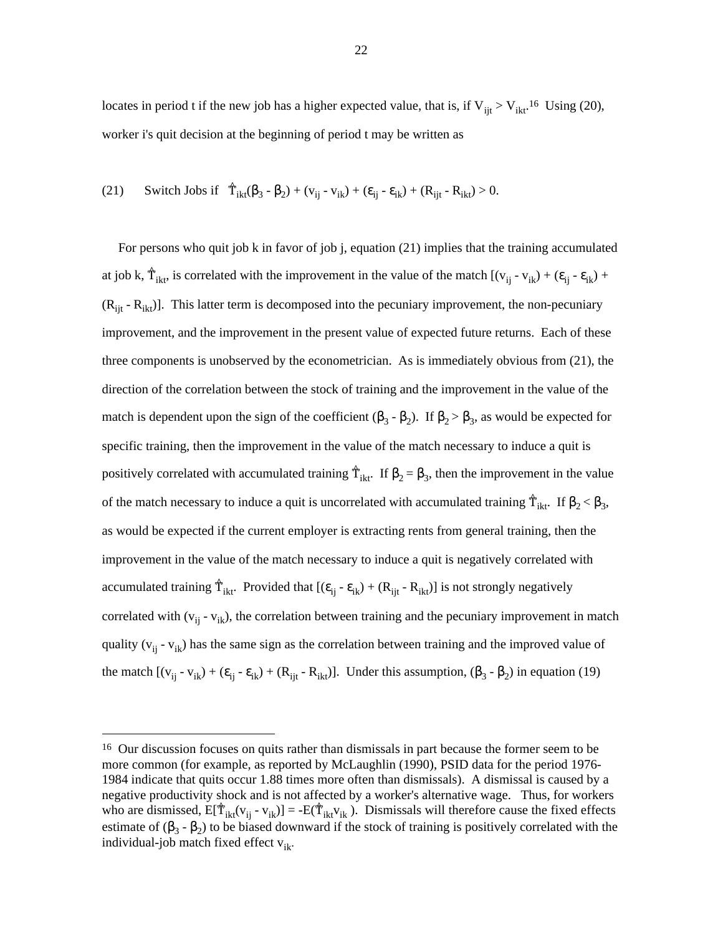locates in period t if the new job has a higher expected value, that is, if  $V_{ijt} > V_{ikt}$ .<sup>16</sup> Using (20), worker i's quit decision at the beginning of period t may be written as

(21) Switch Jobs if 
$$
\hat{T}_{ikt}(\beta_3 - \beta_2) + (v_{ij} - v_{ik}) + (\varepsilon_{ij} - \varepsilon_{ik}) + (R_{ijt} - R_{ikt}) > 0.
$$

 For persons who quit job k in favor of job j, equation (21) implies that the training accumulated at job k,  $\hat{T}_{ikt}$ , is correlated with the improvement in the value of the match  $[(v_{ij} - v_{ik}) + (\varepsilon_{ij} - \varepsilon_{ik}) +$  $(R_{ijt} - R_{ikt})$ . This latter term is decomposed into the pecuniary improvement, the non-pecuniary improvement, and the improvement in the present value of expected future returns. Each of these three components is unobserved by the econometrician. As is immediately obvious from (21), the direction of the correlation between the stock of training and the improvement in the value of the match is dependent upon the sign of the coefficient  $(\beta_3 - \beta_2)$ . If  $\beta_2 > \beta_3$ , as would be expected for specific training, then the improvement in the value of the match necessary to induce a quit is positively correlated with accumulated training  $\hat{T}_{ikt}$ . If  $\beta_2 = \beta_3$ , then the improvement in the value of the match necessary to induce a quit is uncorrelated with accumulated training  $\hat{T}_{ikt}$ . If  $\beta_2 < \beta_3$ , as would be expected if the current employer is extracting rents from general training, then the improvement in the value of the match necessary to induce a quit is negatively correlated with accumulated training  $\hat{T}_{ikt}$ . Provided that  $[(\epsilon_{ij} - \epsilon_{ik}) + (R_{ijt} - R_{ikt})]$  is not strongly negatively correlated with  $(v_{ij} - v_{ik})$ , the correlation between training and the pecuniary improvement in match quality ( $v_{ij}$  -  $v_{ik}$ ) has the same sign as the correlation between training and the improved value of the match  $[(v_{ij} - v_{ik}) + (\varepsilon_{ij} - \varepsilon_{ik}) + (R_{ijt} - R_{ikt})]$ . Under this assumption,  $(\beta_3 - \beta_2)$  in equation (19)

<sup>&</sup>lt;sup>16</sup> Our discussion focuses on quits rather than dismissals in part because the former seem to be more common (for example, as reported by McLaughlin (1990), PSID data for the period 1976- 1984 indicate that quits occur 1.88 times more often than dismissals). A dismissal is caused by a negative productivity shock and is not affected by a worker's alternative wage. Thus, for workers who are dismissed,  $E[\hat{T}_{ikt}(v_{ij} - v_{ik})] = -E(\hat{T}_{ikt}v_{ik})$ . Dismissals will therefore cause the fixed effects estimate of  $(\beta_3 - \beta_2)$  to be biased downward if the stock of training is positively correlated with the individual-job match fixed effect  $v_{ik}$ .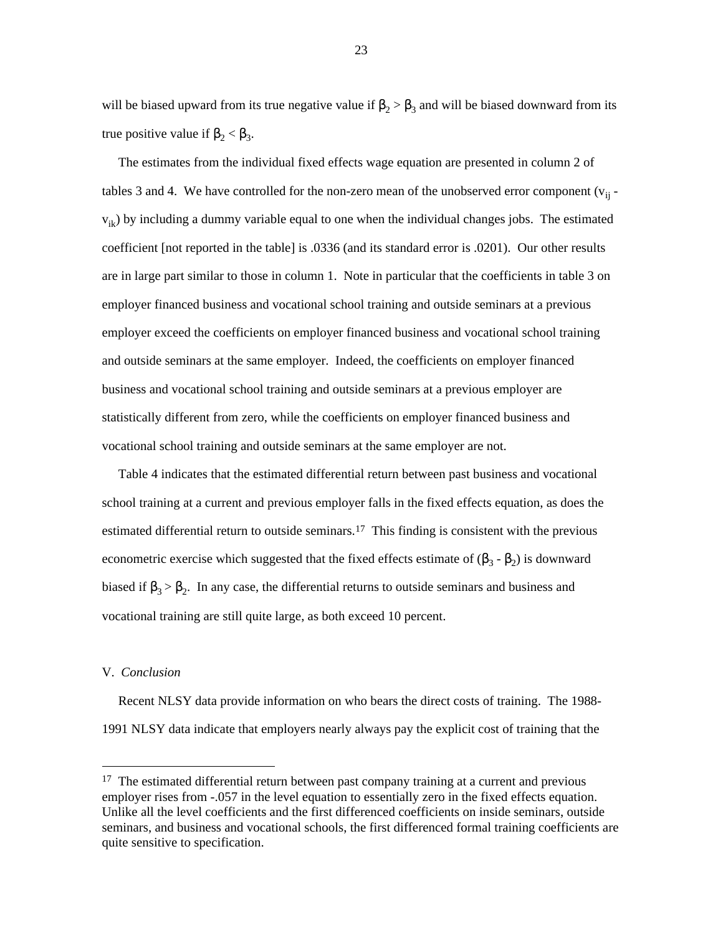will be biased upward from its true negative value if  $\beta_2 > \beta_3$  and will be biased downward from its true positive value if  $β<sub>2</sub> < β<sub>3</sub>$ .

 The estimates from the individual fixed effects wage equation are presented in column 2 of tables 3 and 4. We have controlled for the non-zero mean of the unobserved error component  $(v_{ii} - v_{ii})$  $v_{ik}$ ) by including a dummy variable equal to one when the individual changes jobs. The estimated coefficient [not reported in the table] is .0336 (and its standard error is .0201). Our other results are in large part similar to those in column 1. Note in particular that the coefficients in table 3 on employer financed business and vocational school training and outside seminars at a previous employer exceed the coefficients on employer financed business and vocational school training and outside seminars at the same employer. Indeed, the coefficients on employer financed business and vocational school training and outside seminars at a previous employer are statistically different from zero, while the coefficients on employer financed business and vocational school training and outside seminars at the same employer are not.

 Table 4 indicates that the estimated differential return between past business and vocational school training at a current and previous employer falls in the fixed effects equation, as does the estimated differential return to outside seminars.<sup>17</sup> This finding is consistent with the previous econometric exercise which suggested that the fixed effects estimate of  $(\beta_3 - \beta_2)$  is downward biased if  $\beta_3 > \beta_2$ . In any case, the differential returns to outside seminars and business and vocational training are still quite large, as both exceed 10 percent.

#### V. *Conclusion*

 Recent NLSY data provide information on who bears the direct costs of training. The 1988- 1991 NLSY data indicate that employers nearly always pay the explicit cost of training that the

 $17$  The estimated differential return between past company training at a current and previous employer rises from -.057 in the level equation to essentially zero in the fixed effects equation. Unlike all the level coefficients and the first differenced coefficients on inside seminars, outside seminars, and business and vocational schools, the first differenced formal training coefficients are quite sensitive to specification.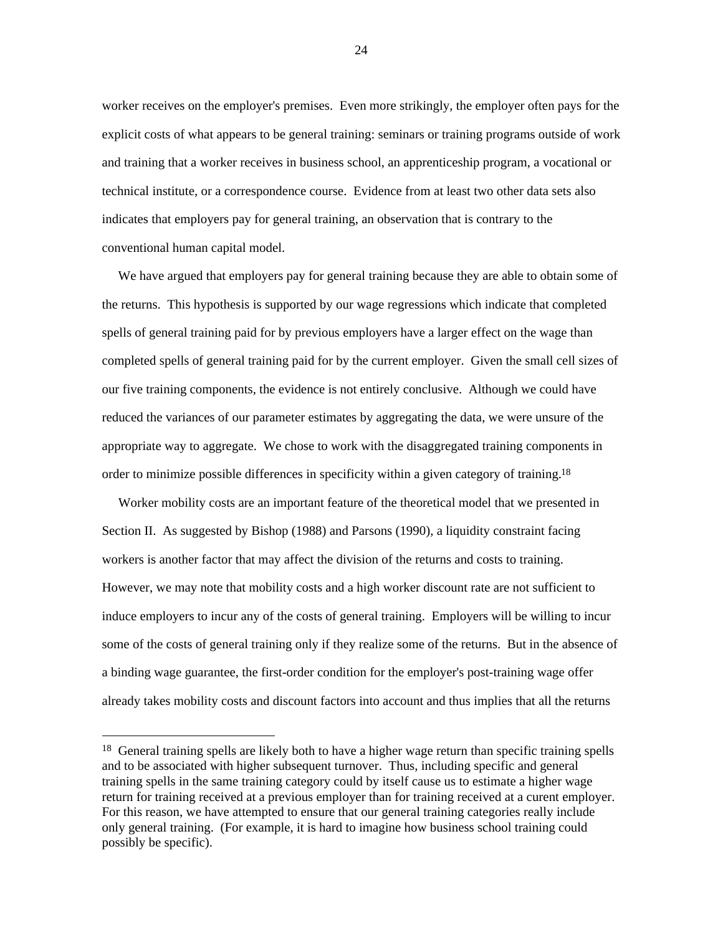worker receives on the employer's premises. Even more strikingly, the employer often pays for the explicit costs of what appears to be general training: seminars or training programs outside of work and training that a worker receives in business school, an apprenticeship program, a vocational or technical institute, or a correspondence course. Evidence from at least two other data sets also indicates that employers pay for general training, an observation that is contrary to the conventional human capital model.

 We have argued that employers pay for general training because they are able to obtain some of the returns. This hypothesis is supported by our wage regressions which indicate that completed spells of general training paid for by previous employers have a larger effect on the wage than completed spells of general training paid for by the current employer. Given the small cell sizes of our five training components, the evidence is not entirely conclusive. Although we could have reduced the variances of our parameter estimates by aggregating the data, we were unsure of the appropriate way to aggregate. We chose to work with the disaggregated training components in order to minimize possible differences in specificity within a given category of training.18

 Worker mobility costs are an important feature of the theoretical model that we presented in Section II. As suggested by Bishop (1988) and Parsons (1990), a liquidity constraint facing workers is another factor that may affect the division of the returns and costs to training. However, we may note that mobility costs and a high worker discount rate are not sufficient to induce employers to incur any of the costs of general training. Employers will be willing to incur some of the costs of general training only if they realize some of the returns. But in the absence of a binding wage guarantee, the first-order condition for the employer's post-training wage offer already takes mobility costs and discount factors into account and thus implies that all the returns

<sup>&</sup>lt;sup>18</sup> General training spells are likely both to have a higher wage return than specific training spells and to be associated with higher subsequent turnover. Thus, including specific and general training spells in the same training category could by itself cause us to estimate a higher wage return for training received at a previous employer than for training received at a curent employer. For this reason, we have attempted to ensure that our general training categories really include only general training. (For example, it is hard to imagine how business school training could possibly be specific).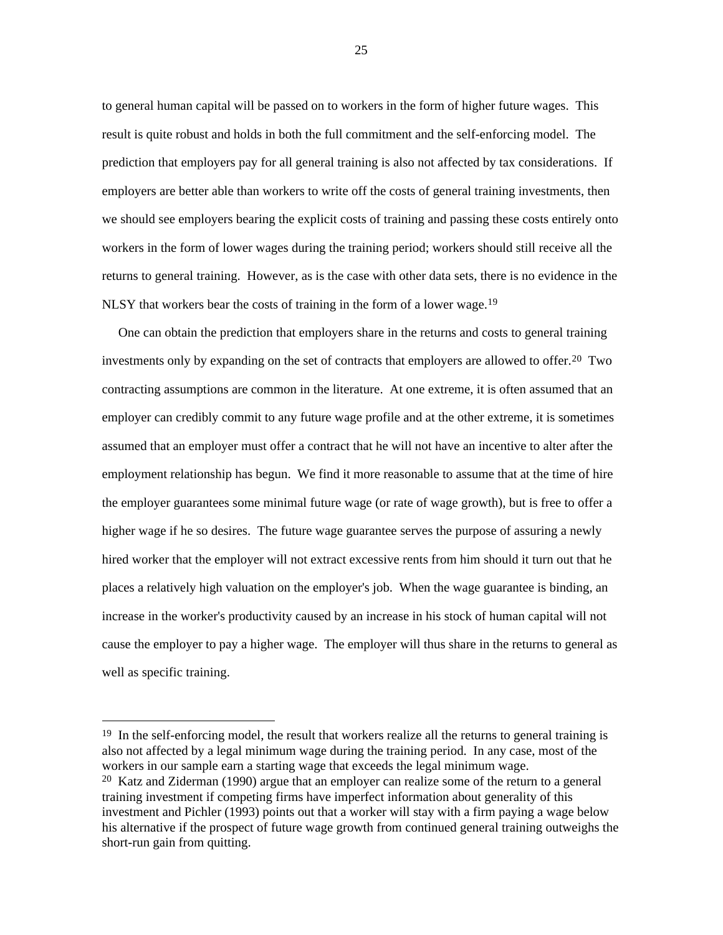to general human capital will be passed on to workers in the form of higher future wages. This result is quite robust and holds in both the full commitment and the self-enforcing model. The prediction that employers pay for all general training is also not affected by tax considerations. If employers are better able than workers to write off the costs of general training investments, then we should see employers bearing the explicit costs of training and passing these costs entirely onto workers in the form of lower wages during the training period; workers should still receive all the returns to general training. However, as is the case with other data sets, there is no evidence in the NLSY that workers bear the costs of training in the form of a lower wage.<sup>19</sup>

 One can obtain the prediction that employers share in the returns and costs to general training investments only by expanding on the set of contracts that employers are allowed to offer.20 Two contracting assumptions are common in the literature. At one extreme, it is often assumed that an employer can credibly commit to any future wage profile and at the other extreme, it is sometimes assumed that an employer must offer a contract that he will not have an incentive to alter after the employment relationship has begun. We find it more reasonable to assume that at the time of hire the employer guarantees some minimal future wage (or rate of wage growth), but is free to offer a higher wage if he so desires. The future wage guarantee serves the purpose of assuring a newly hired worker that the employer will not extract excessive rents from him should it turn out that he places a relatively high valuation on the employer's job. When the wage guarantee is binding, an increase in the worker's productivity caused by an increase in his stock of human capital will not cause the employer to pay a higher wage. The employer will thus share in the returns to general as well as specific training.

<sup>&</sup>lt;sup>19</sup> In the self-enforcing model, the result that workers realize all the returns to general training is also not affected by a legal minimum wage during the training period. In any case, most of the workers in our sample earn a starting wage that exceeds the legal minimum wage.

<sup>20</sup> Katz and Ziderman (1990) argue that an employer can realize some of the return to a general training investment if competing firms have imperfect information about generality of this investment and Pichler (1993) points out that a worker will stay with a firm paying a wage below his alternative if the prospect of future wage growth from continued general training outweighs the short-run gain from quitting.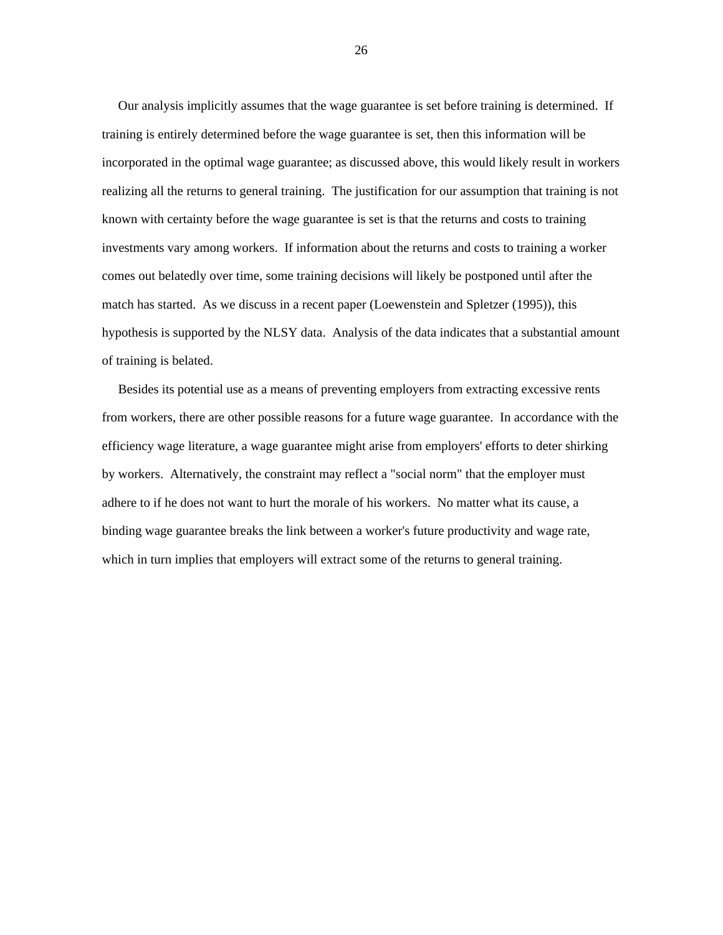Our analysis implicitly assumes that the wage guarantee is set before training is determined. If training is entirely determined before the wage guarantee is set, then this information will be incorporated in the optimal wage guarantee; as discussed above, this would likely result in workers realizing all the returns to general training. The justification for our assumption that training is not known with certainty before the wage guarantee is set is that the returns and costs to training investments vary among workers. If information about the returns and costs to training a worker comes out belatedly over time, some training decisions will likely be postponed until after the match has started. As we discuss in a recent paper (Loewenstein and Spletzer (1995)), this hypothesis is supported by the NLSY data. Analysis of the data indicates that a substantial amount of training is belated.

 Besides its potential use as a means of preventing employers from extracting excessive rents from workers, there are other possible reasons for a future wage guarantee. In accordance with the efficiency wage literature, a wage guarantee might arise from employers' efforts to deter shirking by workers. Alternatively, the constraint may reflect a "social norm" that the employer must adhere to if he does not want to hurt the morale of his workers. No matter what its cause, a binding wage guarantee breaks the link between a worker's future productivity and wage rate, which in turn implies that employers will extract some of the returns to general training.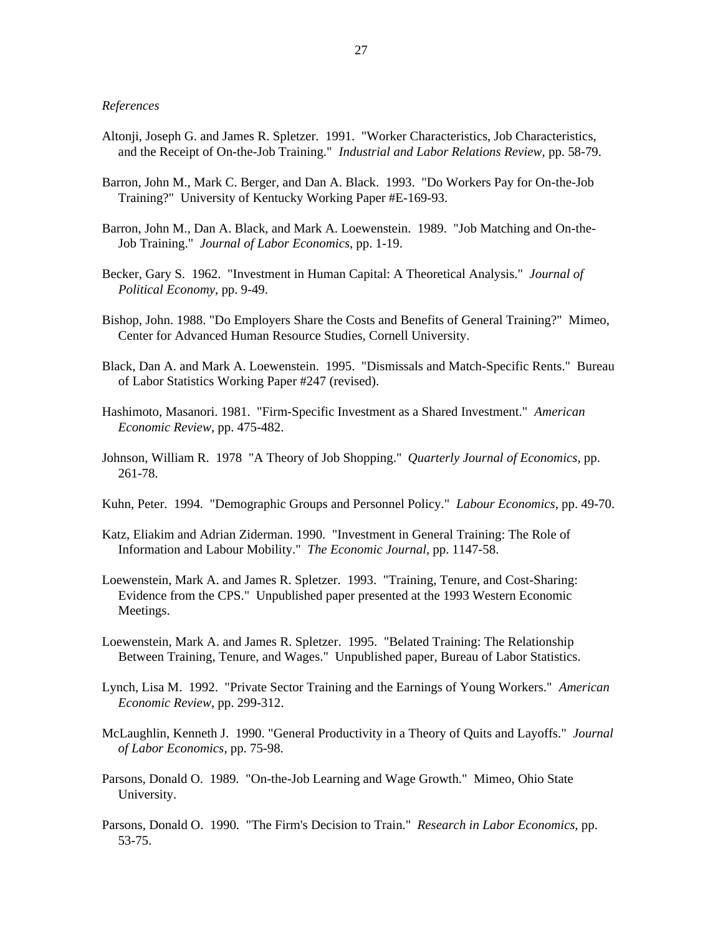#### *References*

- Altonji, Joseph G. and James R. Spletzer. 1991. "Worker Characteristics, Job Characteristics, and the Receipt of On-the-Job Training." *Industrial and Labor Relations Review*, pp. 58-79.
- Barron, John M., Mark C. Berger, and Dan A. Black. 1993. "Do Workers Pay for On-the-Job Training?" University of Kentucky Working Paper #E-169-93.
- Barron, John M., Dan A. Black, and Mark A. Loewenstein. 1989. "Job Matching and On-the- Job Training." *Journal of Labor Economics*, pp. 1-19.
- Becker, Gary S. 1962. "Investment in Human Capital: A Theoretical Analysis." *Journal of Political Economy*, pp. 9-49.
- Bishop, John. 1988. "Do Employers Share the Costs and Benefits of General Training?" Mimeo, Center for Advanced Human Resource Studies, Cornell University.
- Black, Dan A. and Mark A. Loewenstein. 1995. "Dismissals and Match-Specific Rents." Bureau of Labor Statistics Working Paper #247 (revised).
- Hashimoto, Masanori. 1981. "Firm-Specific Investment as a Shared Investment." *American Economic Review*, pp. 475-482.
- Johnson, William R. 1978 "A Theory of Job Shopping." *Quarterly Journal of Economics*, pp. 261-78.
- Kuhn, Peter. 1994. "Demographic Groups and Personnel Policy." *Labour Economics*, pp. 49-70.
- Katz, Eliakim and Adrian Ziderman. 1990. "Investment in General Training: The Role of Information and Labour Mobility." *The Economic Journal*, pp. 1147-58.
- Loewenstein, Mark A. and James R. Spletzer. 1993. "Training, Tenure, and Cost-Sharing: Evidence from the CPS." Unpublished paper presented at the 1993 Western Economic Meetings.
- Loewenstein, Mark A. and James R. Spletzer. 1995. "Belated Training: The Relationship Between Training, Tenure, and Wages." Unpublished paper, Bureau of Labor Statistics.
- Lynch, Lisa M. 1992. "Private Sector Training and the Earnings of Young Workers." *American Economic Review*, pp. 299-312.
- McLaughlin, Kenneth J. 1990. "General Productivity in a Theory of Quits and Layoffs." *Journal of Labor Economics*, pp. 75-98.
- Parsons, Donald O. 1989. "On-the-Job Learning and Wage Growth." Mimeo, Ohio State University.
- Parsons, Donald O. 1990. "The Firm's Decision to Train." *Research in Labor Economics*, pp. 53-75.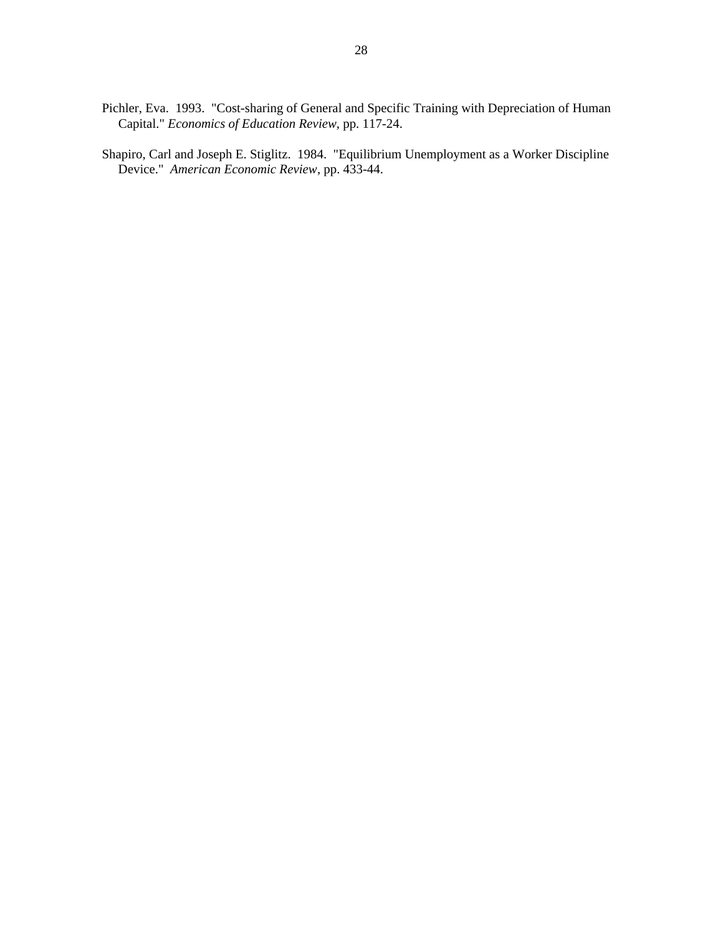- Pichler, Eva. 1993. "Cost-sharing of General and Specific Training with Depreciation of Human Capital." *Economics of Education Review*, pp. 117-24.
- Shapiro, Carl and Joseph E. Stiglitz. 1984. "Equilibrium Unemployment as a Worker Discipline Device." *American Economic Review*, pp. 433-44.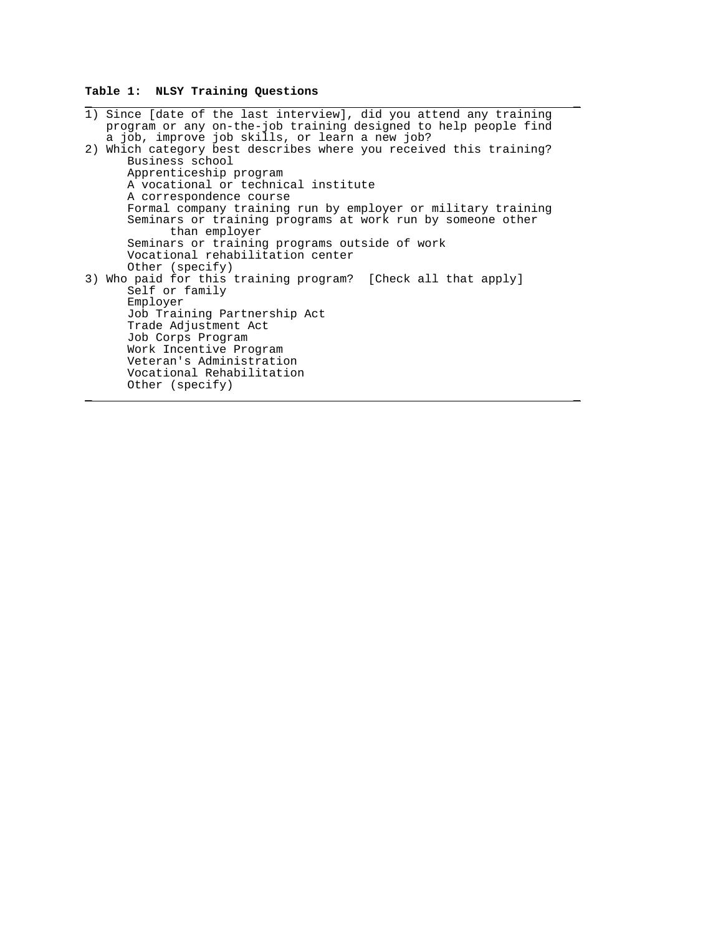# **Table 1: NLSY Training Questions**

| 1) Since [date of the last interview], did you attend any training<br>program or any on-the-job training designed to help people find<br>a job, improve job skills, or learn a new job?                                                                                                                         |
|-----------------------------------------------------------------------------------------------------------------------------------------------------------------------------------------------------------------------------------------------------------------------------------------------------------------|
| 2) Which category best describes where you received this training?<br>Business school<br>Apprenticeship program<br>A vocational or technical institute<br>A correspondence course<br>Formal company training run by employer or military training<br>Seminars or training programs at work run by someone other |
| than employer<br>Seminars or training programs outside of work<br>Vocational rehabilitation center<br>Other (specify)                                                                                                                                                                                           |
| 3) Who paid for this training program? [Check all that apply]<br>Self or family<br>Employer<br>Job Training Partnership Act<br>Trade Adjustment Act<br>Job Corps Program<br>Work Incentive Program<br>Veteran's Administration<br>Vocational Rehabilitation<br>Other (specify)                                  |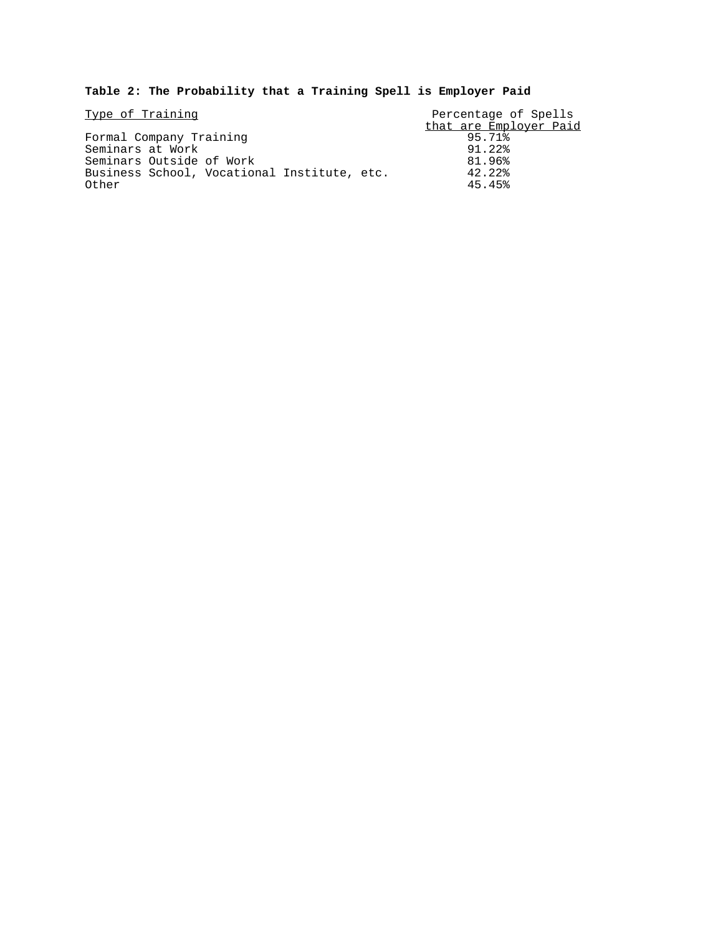# **Table 2: The Probability that a Training Spell is Employer Paid**

| Type of Training                            | Percentage of Spells   |  |  |
|---------------------------------------------|------------------------|--|--|
|                                             | that are Employer Paid |  |  |
| Formal Company Training                     | 95.71%                 |  |  |
| Seminars at Work                            | 91.22%                 |  |  |
| Seminars Outside of Work                    | 81.96%                 |  |  |
| Business School, Vocational Institute, etc. | 42.22%                 |  |  |
| Other                                       | 45.45%                 |  |  |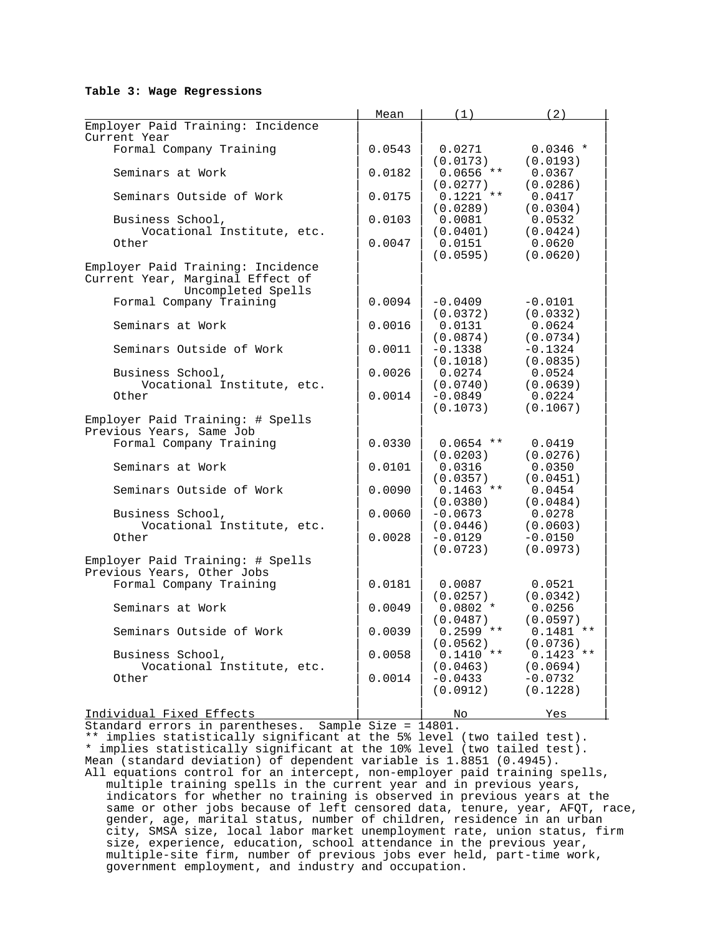#### **Table 3: Wage Regressions**

|                                                                                             | Mean   | (1)                     | (2)                               |
|---------------------------------------------------------------------------------------------|--------|-------------------------|-----------------------------------|
| Employer Paid Training: Incidence<br>Current Year                                           |        |                         |                                   |
| Formal Company Training                                                                     | 0.0543 | 0.0271<br>(0.0173)      | $0.0346$ *<br>(0.0193)            |
| Seminars at Work                                                                            | 0.0182 | $0.0656$ **<br>(0.0277) | 0.0367<br>(0.0286)                |
| Seminars Outside of Work                                                                    | 0.0175 | $0.1221$ **<br>(0.0289) | 0.0417<br>(0.0304)                |
| Business School,<br>Vocational Institute, etc.                                              | 0.0103 | 0.0081<br>(0.0401)      | 0.0532<br>(0.0424)                |
| Other                                                                                       | 0.0047 | 0.0151<br>(0.0595)      | 0.0620<br>(0.0620)                |
| Employer Paid Training: Incidence<br>Current Year, Marginal Effect of<br>Uncompleted Spells |        |                         |                                   |
| Formal Company Training                                                                     | 0.0094 | $-0.0409$<br>(0.0372)   | $-0.0101$<br>(0.0332)             |
| Seminars at Work                                                                            | 0.0016 | 0.0131<br>(0.0874)      | 0.0624<br>(0.0734)                |
| Seminars Outside of Work                                                                    | 0.0011 | $-0.1338$<br>(0.1018)   | $-0.1324$<br>(0.0835)             |
| Business School,<br>Vocational Institute, etc.                                              | 0.0026 | 0.0274<br>(0.0740)      | 0.0524<br>(0.0639)                |
| Other                                                                                       | 0.0014 | $-0.0849$<br>(0.1073)   | 0.0224<br>(0.1067)                |
| Employer Paid Training: # Spells<br>Previous Years, Same Job                                |        |                         |                                   |
| Formal Company Training                                                                     | 0.0330 | $0.0654$ **<br>(0.0203) | 0.0419<br>(0.0276)                |
| Seminars at Work                                                                            | 0.0101 | 0.0316<br>(0.0357)      | 0.0350<br>(0.0451)                |
| Seminars Outside of Work                                                                    | 0.0090 | $0.1463$ **<br>(0.0380) | 0.0454<br>(0.0484)                |
| Business School,<br>Vocational Institute, etc.                                              | 0.0060 | $-0.0673$<br>(0.0446)   | 0.0278<br>(0.0603)                |
| Other                                                                                       | 0.0028 | $-0.0129$<br>(0.0723)   | $-0.0150$<br>(0.0973)             |
| Employer Paid Training: # Spells<br>Previous Years, Other Jobs                              |        |                         |                                   |
| Formal Company Training                                                                     | 0.0181 | 0.0087<br>(0.0257)      | 0.0521<br>(0.0342)                |
| Seminars at Work                                                                            | 0.0049 | $0.0802 *$<br>(0.0487)  | 0.0256<br>(0.0597)                |
| Seminars Outside of Work                                                                    | 0.0039 | $0.2599$ **<br>(0.0562) | $0.1481**$<br>(0.0736)            |
| Business School,                                                                            | 0.0058 | $0.1410$ **<br>(0.0463) | $0.1423$ **                       |
| Vocational Institute, etc.<br>Other                                                         | 0.0014 | $-0.0433$<br>(0.0912)   | (0.0694)<br>$-0.0732$<br>(0.1228) |
| Individual Fixed Effects                                                                    |        | No.                     | Yes                               |

Standard errors in parentheses. Sample Size = 14801.

\*\* implies statistically significant at the 5% level (two tailed test). \* implies statistically significant at the 10% level (two tailed test). Mean (standard deviation) of dependent variable is 1.8851 (0.4945). All equations control for an intercept, non-employer paid training spells, multiple training spells in the current year and in previous years, indicators for whether no training is observed in previous years at the same or other jobs because of left censored data, tenure, year, AFQT, race, gender, age, marital status, number of children, residence in an urban city, SMSA size, local labor market unemployment rate, union status, firm size, experience, education, school attendance in the previous year, multiple-site firm, number of previous jobs ever held, part-time work, government employment, and industry and occupation.